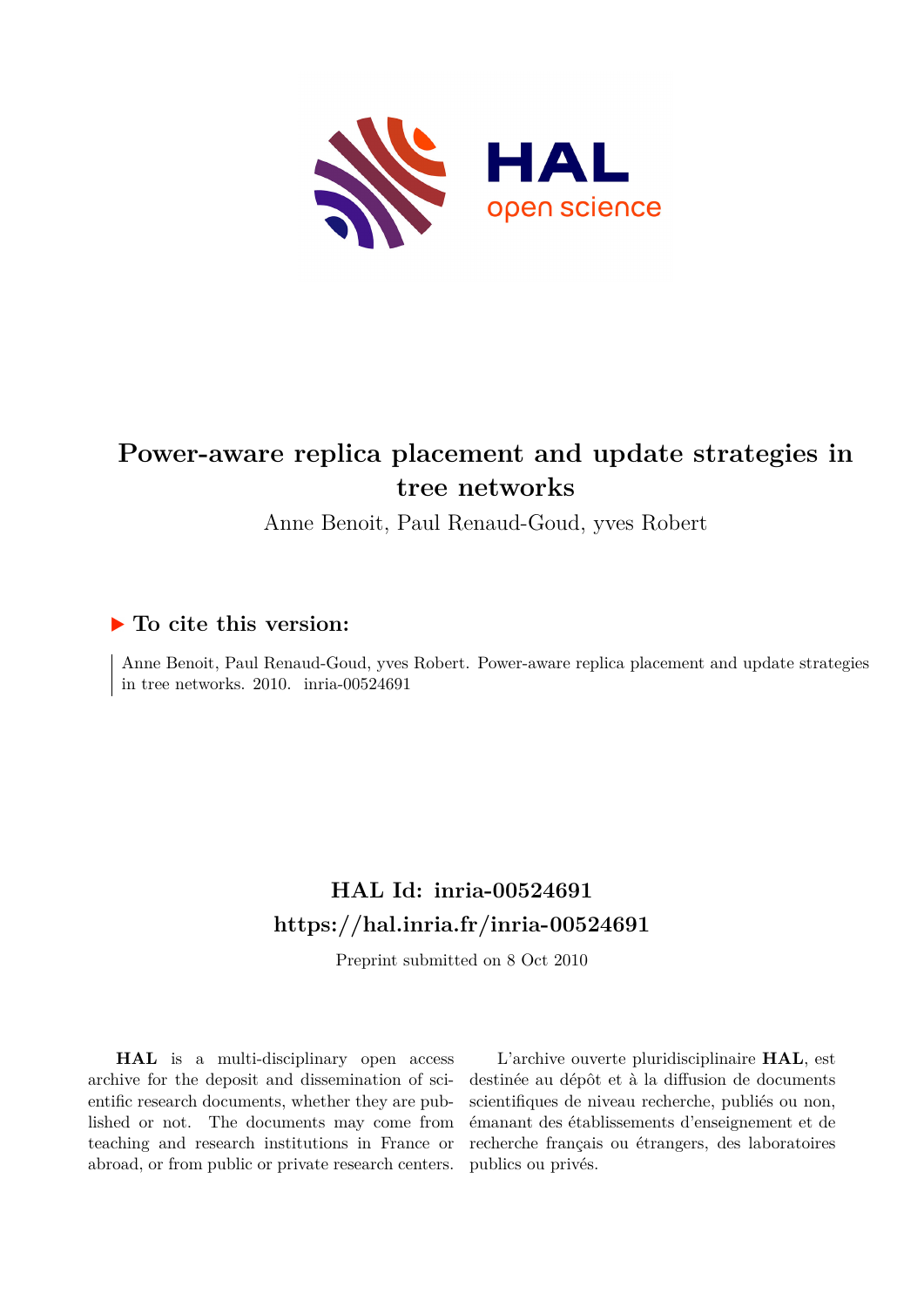

# **Power-aware replica placement and update strategies in tree networks**

Anne Benoit, Paul Renaud-Goud, yves Robert

## **To cite this version:**

Anne Benoit, Paul Renaud-Goud, yves Robert. Power-aware replica placement and update strategies in tree networks.  $2010.$  inria- $00524691$ 

# **HAL Id: inria-00524691 <https://hal.inria.fr/inria-00524691>**

Preprint submitted on 8 Oct 2010

**HAL** is a multi-disciplinary open access archive for the deposit and dissemination of scientific research documents, whether they are published or not. The documents may come from teaching and research institutions in France or abroad, or from public or private research centers.

L'archive ouverte pluridisciplinaire **HAL**, est destinée au dépôt et à la diffusion de documents scientifiques de niveau recherche, publiés ou non, émanant des établissements d'enseignement et de recherche français ou étrangers, des laboratoires publics ou privés.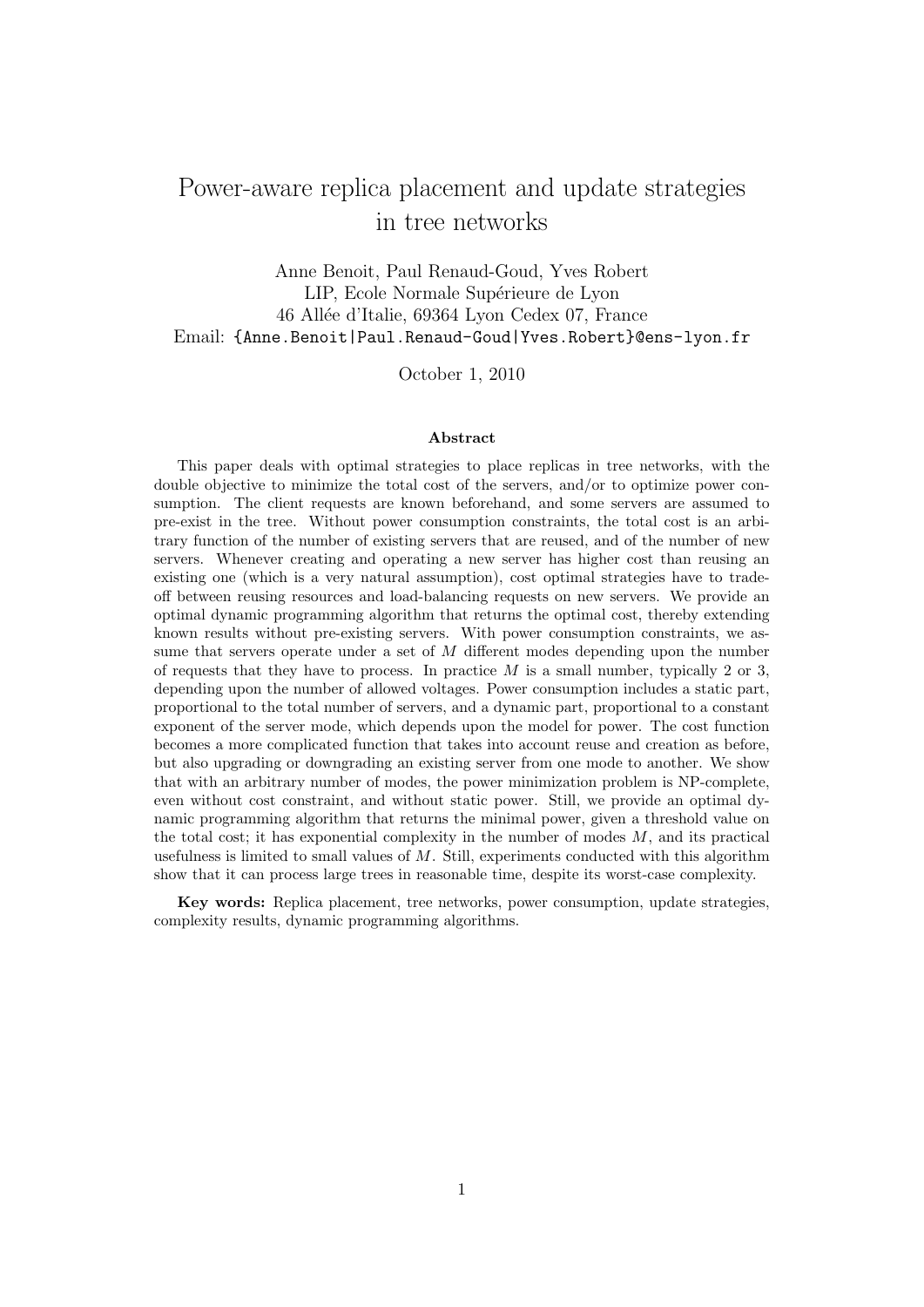# Power-aware replica placement and update strategies in tree networks

Anne Benoit, Paul Renaud-Goud, Yves Robert LIP, Ecole Normale Supérieure de Lyon 46 Allée d'Italie, 69364 Lyon Cedex 07, France Email: {Anne.Benoit|Paul.Renaud-Goud|Yves.Robert}@ens-lyon.fr

October 1, 2010

#### Abstract

This paper deals with optimal strategies to place replicas in tree networks, with the double objective to minimize the total cost of the servers, and/or to optimize power consumption. The client requests are known beforehand, and some servers are assumed to pre-exist in the tree. Without power consumption constraints, the total cost is an arbitrary function of the number of existing servers that are reused, and of the number of new servers. Whenever creating and operating a new server has higher cost than reusing an existing one (which is a very natural assumption), cost optimal strategies have to tradeoff between reusing resources and load-balancing requests on new servers. We provide an optimal dynamic programming algorithm that returns the optimal cost, thereby extending known results without pre-existing servers. With power consumption constraints, we assume that servers operate under a set of  $M$  different modes depending upon the number of requests that they have to process. In practice  $M$  is a small number, typically 2 or 3, depending upon the number of allowed voltages. Power consumption includes a static part, proportional to the total number of servers, and a dynamic part, proportional to a constant exponent of the server mode, which depends upon the model for power. The cost function becomes a more complicated function that takes into account reuse and creation as before, but also upgrading or downgrading an existing server from one mode to another. We show that with an arbitrary number of modes, the power minimization problem is NP-complete, even without cost constraint, and without static power. Still, we provide an optimal dynamic programming algorithm that returns the minimal power, given a threshold value on the total cost; it has exponential complexity in the number of modes  $M$ , and its practical usefulness is limited to small values of  $M$ . Still, experiments conducted with this algorithm show that it can process large trees in reasonable time, despite its worst-case complexity.

Key words: Replica placement, tree networks, power consumption, update strategies, complexity results, dynamic programming algorithms.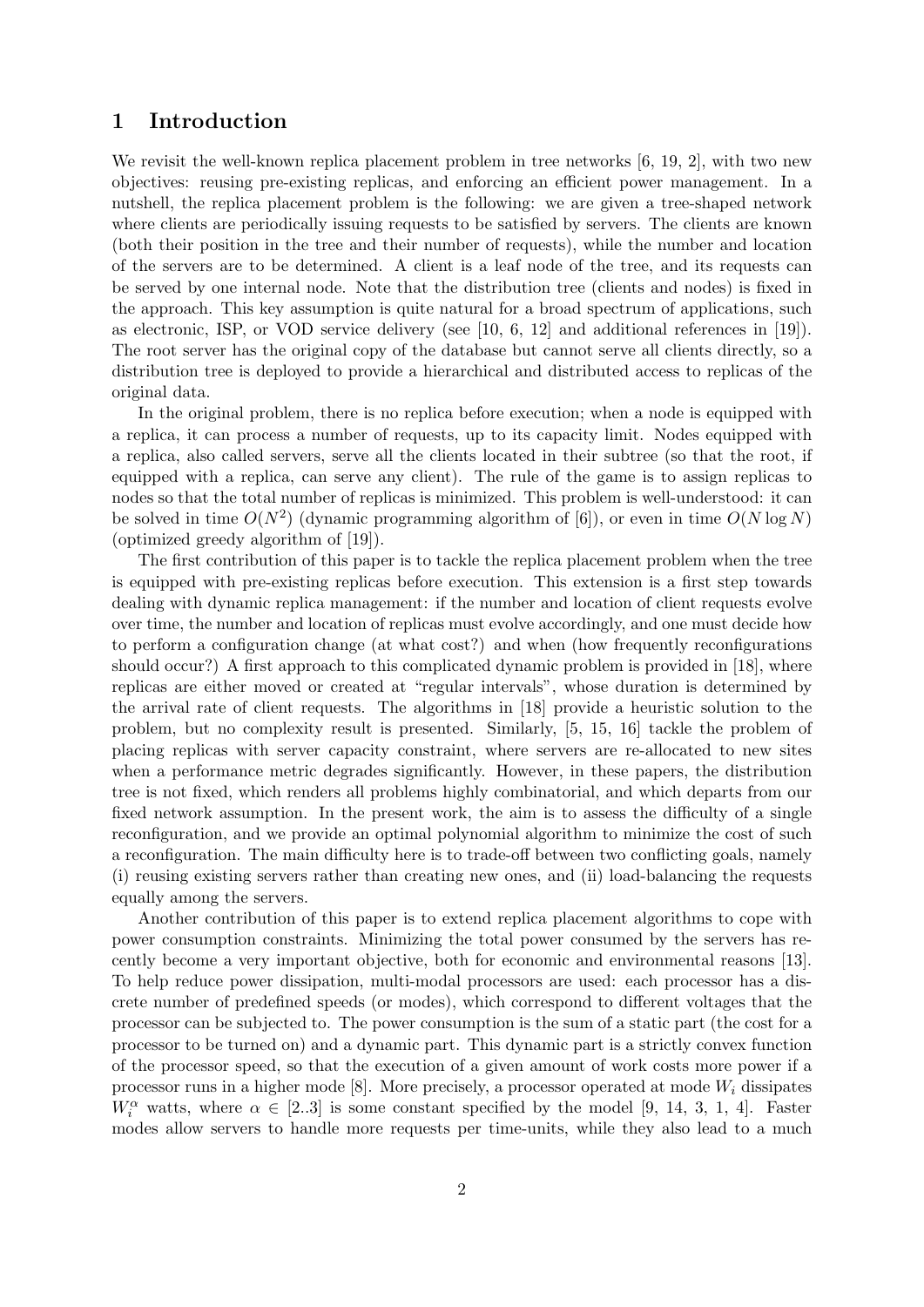## 1 Introduction

We revisit the well-known replica placement problem in tree networks [6, 19, 2], with two new objectives: reusing pre-existing replicas, and enforcing an efficient power management. In a nutshell, the replica placement problem is the following: we are given a tree-shaped network where clients are periodically issuing requests to be satisfied by servers. The clients are known (both their position in the tree and their number of requests), while the number and location of the servers are to be determined. A client is a leaf node of the tree, and its requests can be served by one internal node. Note that the distribution tree (clients and nodes) is fixed in the approach. This key assumption is quite natural for a broad spectrum of applications, such as electronic, ISP, or VOD service delivery (see [10, 6, 12] and additional references in [19]). The root server has the original copy of the database but cannot serve all clients directly, so a distribution tree is deployed to provide a hierarchical and distributed access to replicas of the original data.

In the original problem, there is no replica before execution; when a node is equipped with a replica, it can process a number of requests, up to its capacity limit. Nodes equipped with a replica, also called servers, serve all the clients located in their subtree (so that the root, if equipped with a replica, can serve any client). The rule of the game is to assign replicas to nodes so that the total number of replicas is minimized. This problem is well-understood: it can be solved in time  $O(N^2)$  (dynamic programming algorithm of [6]), or even in time  $O(N \log N)$ (optimized greedy algorithm of [19]).

The first contribution of this paper is to tackle the replica placement problem when the tree is equipped with pre-existing replicas before execution. This extension is a first step towards dealing with dynamic replica management: if the number and location of client requests evolve over time, the number and location of replicas must evolve accordingly, and one must decide how to perform a configuration change (at what cost?) and when (how frequently reconfigurations should occur?) A first approach to this complicated dynamic problem is provided in [18], where replicas are either moved or created at "regular intervals", whose duration is determined by the arrival rate of client requests. The algorithms in [18] provide a heuristic solution to the problem, but no complexity result is presented. Similarly, [5, 15, 16] tackle the problem of placing replicas with server capacity constraint, where servers are re-allocated to new sites when a performance metric degrades significantly. However, in these papers, the distribution tree is not fixed, which renders all problems highly combinatorial, and which departs from our fixed network assumption. In the present work, the aim is to assess the difficulty of a single reconfiguration, and we provide an optimal polynomial algorithm to minimize the cost of such a reconfiguration. The main difficulty here is to trade-off between two conflicting goals, namely (i) reusing existing servers rather than creating new ones, and (ii) load-balancing the requests equally among the servers.

Another contribution of this paper is to extend replica placement algorithms to cope with power consumption constraints. Minimizing the total power consumed by the servers has recently become a very important objective, both for economic and environmental reasons [13]. To help reduce power dissipation, multi-modal processors are used: each processor has a discrete number of predefined speeds (or modes), which correspond to different voltages that the processor can be subjected to. The power consumption is the sum of a static part (the cost for a processor to be turned on) and a dynamic part. This dynamic part is a strictly convex function of the processor speed, so that the execution of a given amount of work costs more power if a processor runs in a higher mode  $[8]$ . More precisely, a processor operated at mode  $W_i$  dissipates  $W_i^{\alpha}$  watts, where  $\alpha \in [2..3]$  is some constant specified by the model [9, 14, 3, 1, 4]. Faster modes allow servers to handle more requests per time-units, while they also lead to a much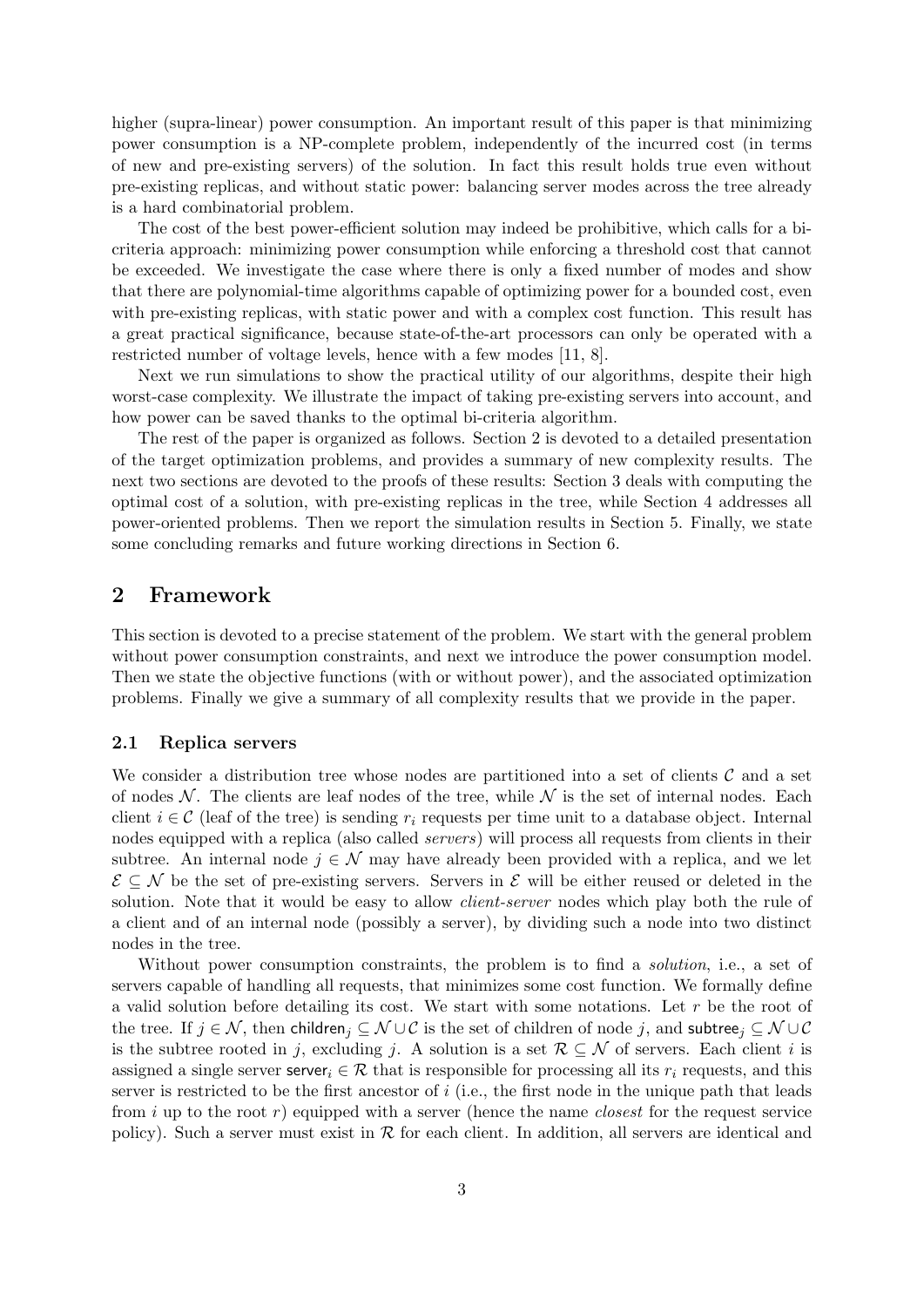higher (supra-linear) power consumption. An important result of this paper is that minimizing power consumption is a NP-complete problem, independently of the incurred cost (in terms of new and pre-existing servers) of the solution. In fact this result holds true even without pre-existing replicas, and without static power: balancing server modes across the tree already is a hard combinatorial problem.

The cost of the best power-efficient solution may indeed be prohibitive, which calls for a bicriteria approach: minimizing power consumption while enforcing a threshold cost that cannot be exceeded. We investigate the case where there is only a fixed number of modes and show that there are polynomial-time algorithms capable of optimizing power for a bounded cost, even with pre-existing replicas, with static power and with a complex cost function. This result has a great practical significance, because state-of-the-art processors can only be operated with a restricted number of voltage levels, hence with a few modes [11, 8].

Next we run simulations to show the practical utility of our algorithms, despite their high worst-case complexity. We illustrate the impact of taking pre-existing servers into account, and how power can be saved thanks to the optimal bi-criteria algorithm.

The rest of the paper is organized as follows. Section 2 is devoted to a detailed presentation of the target optimization problems, and provides a summary of new complexity results. The next two sections are devoted to the proofs of these results: Section 3 deals with computing the optimal cost of a solution, with pre-existing replicas in the tree, while Section 4 addresses all power-oriented problems. Then we report the simulation results in Section 5. Finally, we state some concluding remarks and future working directions in Section 6.

## 2 Framework

This section is devoted to a precise statement of the problem. We start with the general problem without power consumption constraints, and next we introduce the power consumption model. Then we state the objective functions (with or without power), and the associated optimization problems. Finally we give a summary of all complexity results that we provide in the paper.

#### 2.1 Replica servers

We consider a distribution tree whose nodes are partitioned into a set of clients  $\mathcal C$  and a set of nodes N. The clients are leaf nodes of the tree, while N is the set of internal nodes. Each client  $i \in \mathcal{C}$  (leaf of the tree) is sending  $r_i$  requests per time unit to a database object. Internal nodes equipped with a replica (also called *servers*) will process all requests from clients in their subtree. An internal node  $j \in \mathcal{N}$  may have already been provided with a replica, and we let  $\mathcal{E} \subseteq \mathcal{N}$  be the set of pre-existing servers. Servers in  $\mathcal{E}$  will be either reused or deleted in the solution. Note that it would be easy to allow *client-server* nodes which play both the rule of a client and of an internal node (possibly a server), by dividing such a node into two distinct nodes in the tree.

Without power consumption constraints, the problem is to find a *solution*, i.e., a set of servers capable of handling all requests, that minimizes some cost function. We formally define a valid solution before detailing its cost. We start with some notations. Let r be the root of the tree. If  $j \in \mathcal{N}$ , then children  $j \subseteq \mathcal{N} \cup \mathcal{C}$  is the set of children of node j, and subtree $j \subseteq \mathcal{N} \cup \mathcal{C}$ is the subtree rooted in j, excluding j. A solution is a set  $\mathcal{R} \subseteq \mathcal{N}$  of servers. Each client i is assigned a single server server<sub>i</sub>  $\in \mathcal{R}$  that is responsible for processing all its  $r_i$  requests, and this server is restricted to be the first ancestor of  $i$  (i.e., the first node in the unique path that leads from i up to the root r) equipped with a server (hence the name *closest* for the request service policy). Such a server must exist in  $R$  for each client. In addition, all servers are identical and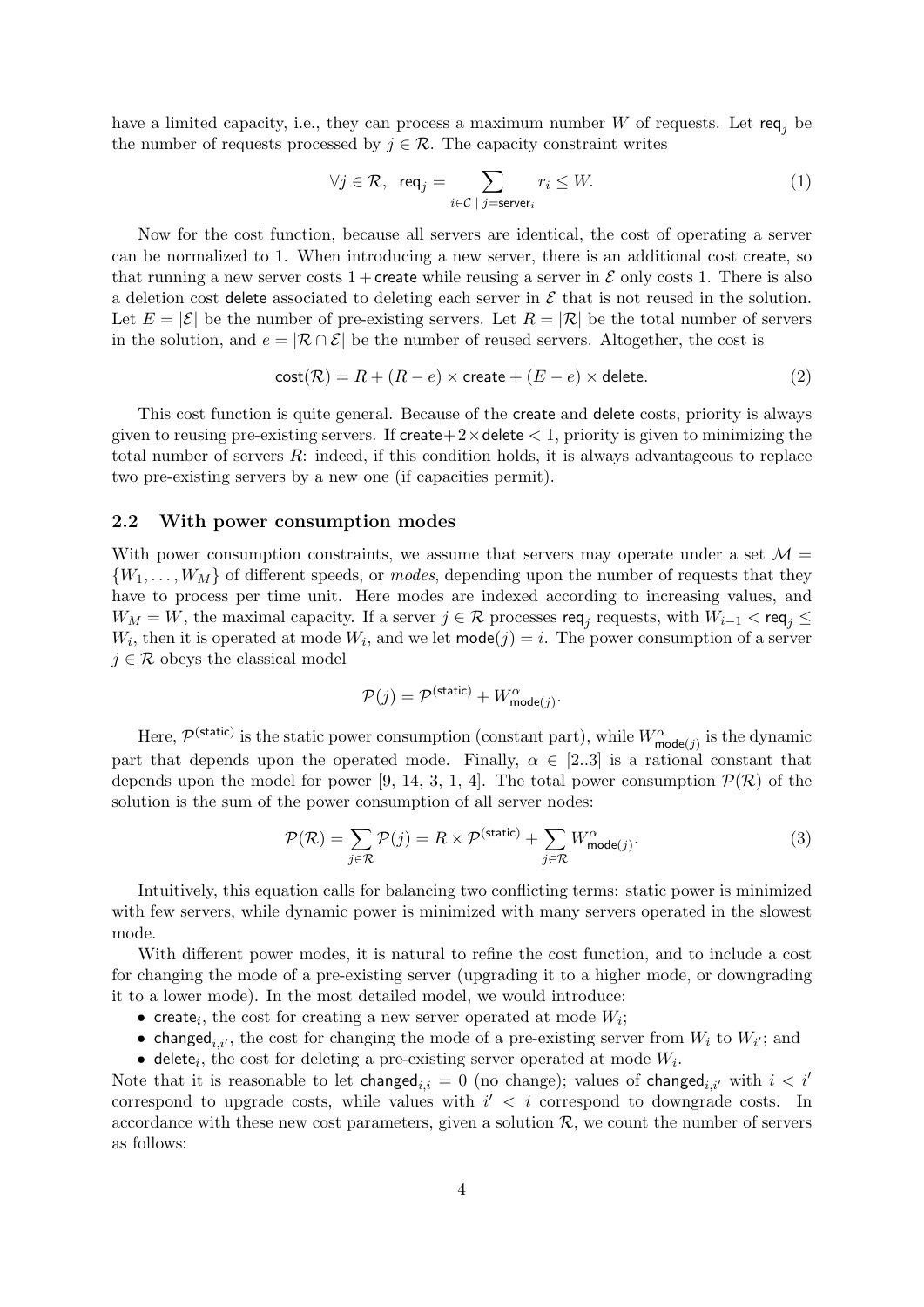have a limited capacity, i.e., they can process a maximum number W of requests. Let  $req_i$  be the number of requests processed by  $j \in \mathcal{R}$ . The capacity constraint writes

$$
\forall j \in \mathcal{R}, \text{ req}_j = \sum_{i \in \mathcal{C} \mid j = \text{server}_i} r_i \le W. \tag{1}
$$

Now for the cost function, because all servers are identical, the cost of operating a server can be normalized to 1. When introducing a new server, there is an additional cost create, so that running a new server costs  $1 +$  create while reusing a server in  $\mathcal E$  only costs 1. There is also a deletion cost delete associated to deleting each server in  $\mathcal E$  that is not reused in the solution. Let  $E = |\mathcal{E}|$  be the number of pre-existing servers. Let  $R = |\mathcal{R}|$  be the total number of servers in the solution, and  $e = |\mathcal{R} \cap \mathcal{E}|$  be the number of reused servers. Altogether, the cost is

$$
cost(R) = R + (R - e) \times create + (E - e) \times delete.
$$
\n(2)

This cost function is quite general. Because of the create and delete costs, priority is always given to reusing pre-existing servers. If create  $+2\times$  delete  $< 1$ , priority is given to minimizing the total number of servers  $R$ : indeed, if this condition holds, it is always advantageous to replace two pre-existing servers by a new one (if capacities permit).

#### 2.2 With power consumption modes

With power consumption constraints, we assume that servers may operate under a set  $\mathcal{M} =$  $\{W_1, \ldots, W_M\}$  of different speeds, or *modes*, depending upon the number of requests that they have to process per time unit. Here modes are indexed according to increasing values, and  $W_M = W$ , the maximal capacity. If a server  $j \in \mathcal{R}$  processes req<sub>j</sub> requests, with  $W_{i-1} <$  req<sub>j</sub>  $\leq$  $W_i$ , then it is operated at mode  $W_i$ , and we let  $\text{mode}(j) = i$ . The power consumption of a server  $j \in \mathcal{R}$  obeys the classical model

$$
\mathcal{P}(j) = \mathcal{P}^{(\text{static})} + W^{\alpha}_{\text{mode}(j)}.
$$

Here,  $\mathcal{P}^{(\text{static})}$  is the static power consumption (constant part), while  $W^{\alpha}_{\text{mode}(j)}$  is the dynamic part that depends upon the operated mode. Finally,  $\alpha \in [2..3]$  is a rational constant that depends upon the model for power [9, 14, 3, 1, 4]. The total power consumption  $\mathcal{P}(\mathcal{R})$  of the solution is the sum of the power consumption of all server nodes:

$$
\mathcal{P}(\mathcal{R}) = \sum_{j \in \mathcal{R}} \mathcal{P}(j) = R \times \mathcal{P}^{(\text{static})} + \sum_{j \in \mathcal{R}} W_{\text{mode}(j)}^{\alpha}.
$$
 (3)

Intuitively, this equation calls for balancing two conflicting terms: static power is minimized with few servers, while dynamic power is minimized with many servers operated in the slowest mode.

With different power modes, it is natural to refine the cost function, and to include a cost for changing the mode of a pre-existing server (upgrading it to a higher mode, or downgrading it to a lower mode). In the most detailed model, we would introduce:

- create<sub>i</sub>, the cost for creating a new server operated at mode  $W_i$ ;
- changed<sub>i,i'</sub>, the cost for changing the mode of a pre-existing server from  $W_i$  to  $W_{i'}$ ; and
- delete<sub>i</sub>, the cost for deleting a pre-existing server operated at mode  $W_i$ .

Note that it is reasonable to let changed<sub>i,i</sub> = 0 (no change); values of changed<sub>i,i'</sub> with  $i < i'$ correspond to upgrade costs, while values with  $i' < i$  correspond to downgrade costs. In accordance with these new cost parameters, given a solution  $R$ , we count the number of servers as follows: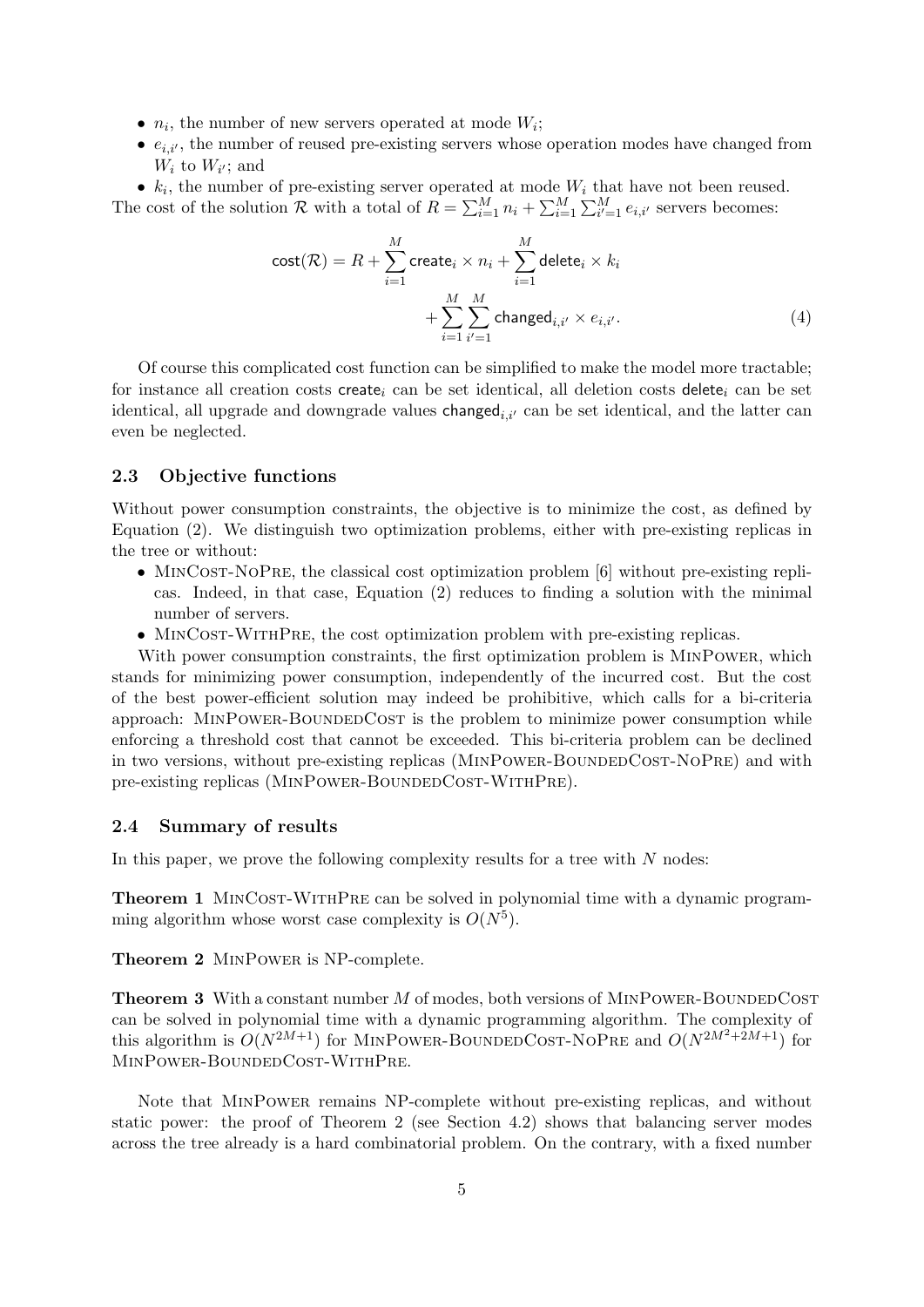- $n_i$ , the number of new servers operated at mode  $W_i$ ;
- $e_{i,i'}$ , the number of reused pre-existing servers whose operation modes have changed from  $W_i$  to  $W_{i'}$ ; and

•  $k_i$ , the number of pre-existing server operated at mode  $W_i$  that have not been reused. The cost of the solution R with a total of  $R = \sum_{i=1}^{M} n_i + \sum_{i=1}^{M} \sum_{i'=1}^{M} e_{i,i'}$  servers becomes:

$$
\text{cost}(\mathcal{R}) = R + \sum_{i=1}^{M} \text{create}_i \times n_i + \sum_{i=1}^{M} \text{delete}_i \times k_i
$$

$$
+ \sum_{i=1}^{M} \sum_{i'=1}^{M} \text{changed}_{i,i'} \times e_{i,i'}.
$$
(4)

Of course this complicated cost function can be simplified to make the model more tractable; for instance all creation costs create<sub>i</sub> can be set identical, all deletion costs delete<sub>i</sub> can be set identical, all upgrade and downgrade values changed<sub>i,i'</sub> can be set identical, and the latter can even be neglected.

#### 2.3 Objective functions

Without power consumption constraints, the objective is to minimize the cost, as defined by Equation (2). We distinguish two optimization problems, either with pre-existing replicas in the tree or without:

- MINCOST-NOPRE, the classical cost optimization problem [6] without pre-existing replicas. Indeed, in that case, Equation (2) reduces to finding a solution with the minimal number of servers.
- MINCOST-WITHPRE, the cost optimization problem with pre-existing replicas.

With power consumption constraints, the first optimization problem is MINPOWER, which stands for minimizing power consumption, independently of the incurred cost. But the cost of the best power-efficient solution may indeed be prohibitive, which calls for a bi-criteria approach: MINPOWER-BOUNDEDCOST is the problem to minimize power consumption while enforcing a threshold cost that cannot be exceeded. This bi-criteria problem can be declined in two versions, without pre-existing replicas (MINPOWER-BOUNDEDCOST-NOPRE) and with pre-existing replicas (MINPOWER-BOUNDEDCOST-WITHPRE).

#### 2.4 Summary of results

In this paper, we prove the following complexity results for a tree with  $N$  nodes:

**Theorem 1** MINCOST-WITHPRE can be solved in polynomial time with a dynamic programming algorithm whose worst case complexity is  $O(N^5)$ .

Theorem 2 MinPower is NP-complete.

**Theorem 3** With a constant number  $M$  of modes, both versions of MINPOWER-BOUNDEDCOST can be solved in polynomial time with a dynamic programming algorithm. The complexity of this algorithm is  $O(N^{2M+1})$  for MINPOWER-BOUNDEDCOST-NOPRE and  $O(N^{2M^2+2M+1})$  for MinPower-BoundedCost-WithPre.

Note that MinPower remains NP-complete without pre-existing replicas, and without static power: the proof of Theorem 2 (see Section 4.2) shows that balancing server modes across the tree already is a hard combinatorial problem. On the contrary, with a fixed number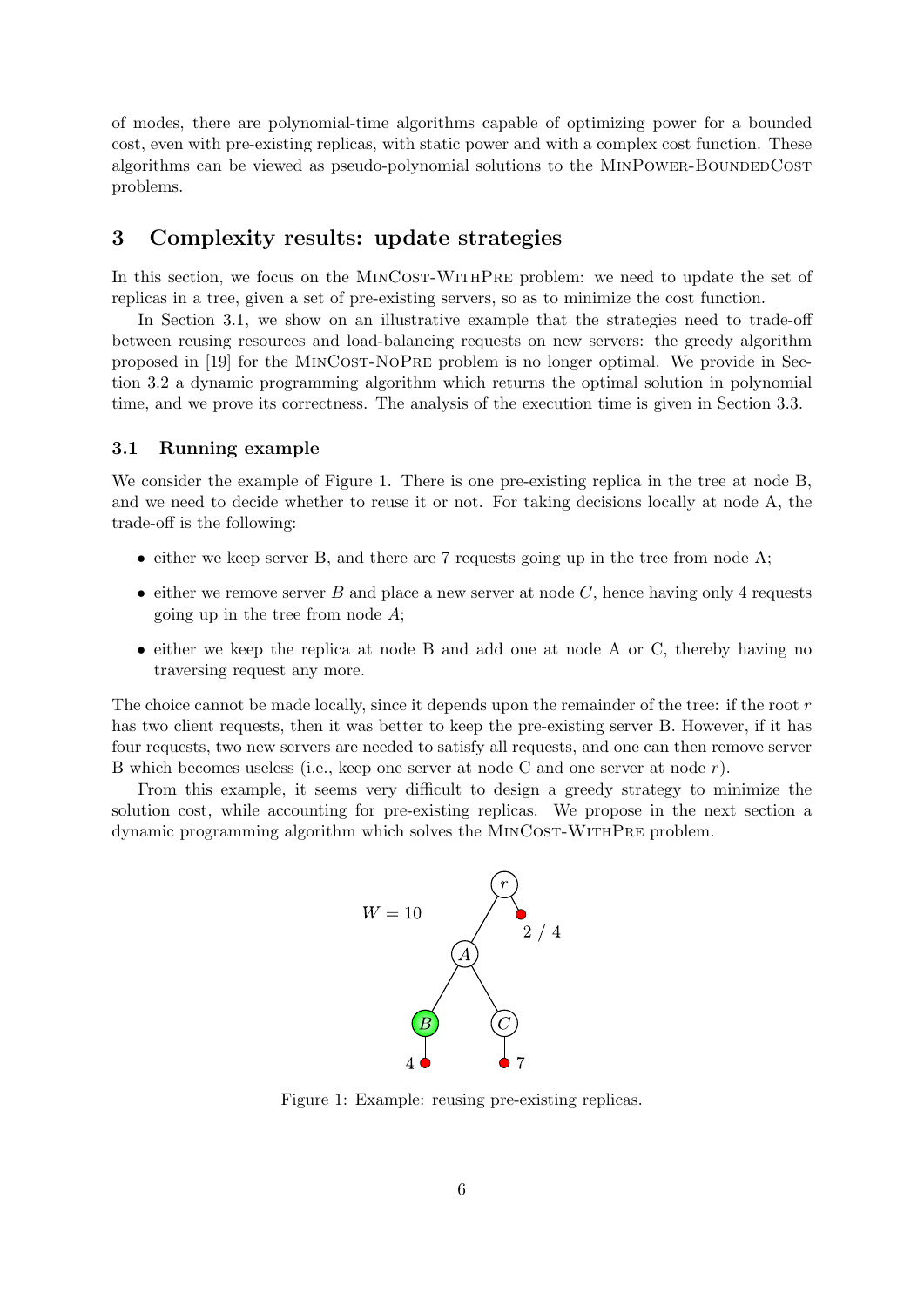of modes, there are polynomial-time algorithms capable of optimizing power for a bounded cost, even with pre-existing replicas, with static power and with a complex cost function. These algorithms can be viewed as pseudo-polynomial solutions to the MINPOWER-BOUNDEDCOST problems.

## 3 Complexity results: update strategies

In this section, we focus on the MINCOST-WITHPRE problem: we need to update the set of replicas in a tree, given a set of pre-existing servers, so as to minimize the cost function.

In Section 3.1, we show on an illustrative example that the strategies need to trade-off between reusing resources and load-balancing requests on new servers: the greedy algorithm proposed in [19] for the MinCost-NoPre problem is no longer optimal. We provide in Section 3.2 a dynamic programming algorithm which returns the optimal solution in polynomial time, and we prove its correctness. The analysis of the execution time is given in Section 3.3.

#### 3.1 Running example

We consider the example of Figure 1. There is one pre-existing replica in the tree at node B, and we need to decide whether to reuse it or not. For taking decisions locally at node A, the trade-off is the following:

- either we keep server B, and there are 7 requests going up in the tree from node A;
- either we remove server B and place a new server at node C, hence having only 4 requests going up in the tree from node A;
- either we keep the replica at node B and add one at node A or C, thereby having no traversing request any more.

The choice cannot be made locally, since it depends upon the remainder of the tree: if the root  $r$ has two client requests, then it was better to keep the pre-existing server B. However, if it has four requests, two new servers are needed to satisfy all requests, and one can then remove server B which becomes useless (i.e., keep one server at node C and one server at node r).

From this example, it seems very difficult to design a greedy strategy to minimize the solution cost, while accounting for pre-existing replicas. We propose in the next section a dynamic programming algorithm which solves the MinCost-WithPre problem.



Figure 1: Example: reusing pre-existing replicas.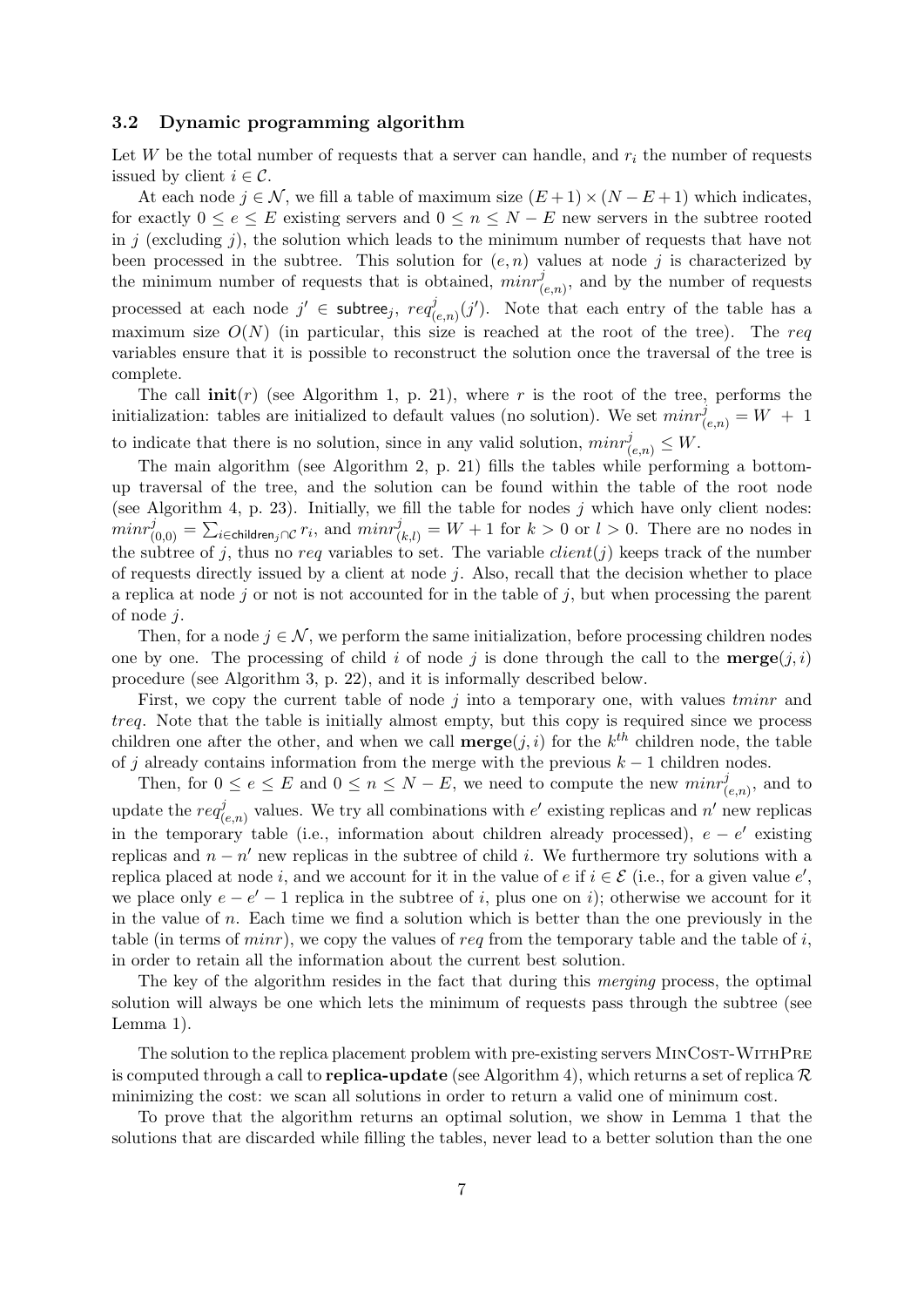#### 3.2 Dynamic programming algorithm

Let W be the total number of requests that a server can handle, and  $r_i$  the number of requests issued by client  $i \in \mathcal{C}$ .

At each node  $j \in \mathcal{N}$ , we fill a table of maximum size  $(E+1) \times (N - E + 1)$  which indicates, for exactly  $0 \le e \le E$  existing servers and  $0 \le n \le N - E$  new servers in the subtree rooted in j (excluding j), the solution which leads to the minimum number of requests that have not been processed in the subtree. This solution for  $(e, n)$  values at node j is characterized by the minimum number of requests that is obtained,  $min_{(e,n)}^j$ , and by the number of requests processed at each node  $j' \in \mathsf{subtree}_j, \: \mathit{req}^j_\ell$  $(\sum_{(e,n)}^j (j')$ . Note that each entry of the table has a maximum size  $O(N)$  (in particular, this size is reached at the root of the tree). The req variables ensure that it is possible to reconstruct the solution once the traversal of the tree is complete.

The call  $\text{init}(r)$  (see Algorithm 1, p. 21), where r is the root of the tree, performs the initialization: tables are initialized to default values (no solution). We set  $min_{(e,n)}^{-1} = W + 1$ to indicate that there is no solution, since in any valid solution,  $min_{(e,n)}^j \leq W$ .

The main algorithm (see Algorithm 2, p. 21) fills the tables while performing a bottomup traversal of the tree, and the solution can be found within the table of the root node (see Algorithm 4, p. 23). Initially, we fill the table for nodes  $j$  which have only client nodes:  $min_{(0,0)}^{j} = \sum_{i \in \text{children}_{j} \cap \mathcal{C}} r_{i}$ , and  $min_{(k,l)}^{j} = W + 1$  for  $k > 0$  or  $l > 0$ . There are no nodes in the subtree of j, thus no req variables to set. The variable  $client(j)$  keeps track of the number of requests directly issued by a client at node  $j$ . Also, recall that the decision whether to place a replica at node  $j$  or not is not accounted for in the table of  $j$ , but when processing the parent of node j.

Then, for a node  $j \in \mathcal{N}$ , we perform the same initialization, before processing children nodes one by one. The processing of child i of node j is done through the call to the **merge** $(j, i)$ procedure (see Algorithm 3, p. 22), and it is informally described below.

First, we copy the current table of node j into a temporary one, with values tminr and treq. Note that the table is initially almost empty, but this copy is required since we process children one after the other, and when we call  $\mathbf{merge}(j, i)$  for the  $k^{th}$  children node, the table of j already contains information from the merge with the previous  $k - 1$  children nodes.

Then, for  $0 \le e \le E$  and  $0 \le n \le N - E$ , we need to compute the new  $min_{(e,n)}^{j}$ , and to update the  $req_l^j$  $(c_{(e,n)})$  values. We try all combinations with  $e'$  existing replicas and n' new replicas in the temporary table (i.e., information about children already processed),  $e - e'$  existing replicas and  $n - n'$  new replicas in the subtree of child *i*. We furthermore try solutions with a replica placed at node i, and we account for it in the value of e if  $i \in \mathcal{E}$  (i.e., for a given value e', we place only  $e - e' - 1$  replica in the subtree of i, plus one on i); otherwise we account for it in the value of  $n$ . Each time we find a solution which is better than the one previously in the table (in terms of *minr*), we copy the values of req from the temporary table and the table of i, in order to retain all the information about the current best solution.

The key of the algorithm resides in the fact that during this *merging* process, the optimal solution will always be one which lets the minimum of requests pass through the subtree (see Lemma 1).

The solution to the replica placement problem with pre-existing servers MINCOST-WITHPRE is computed through a call to **replica-update** (see Algorithm 4), which returns a set of replica  $\mathcal{R}$ minimizing the cost: we scan all solutions in order to return a valid one of minimum cost.

To prove that the algorithm returns an optimal solution, we show in Lemma 1 that the solutions that are discarded while filling the tables, never lead to a better solution than the one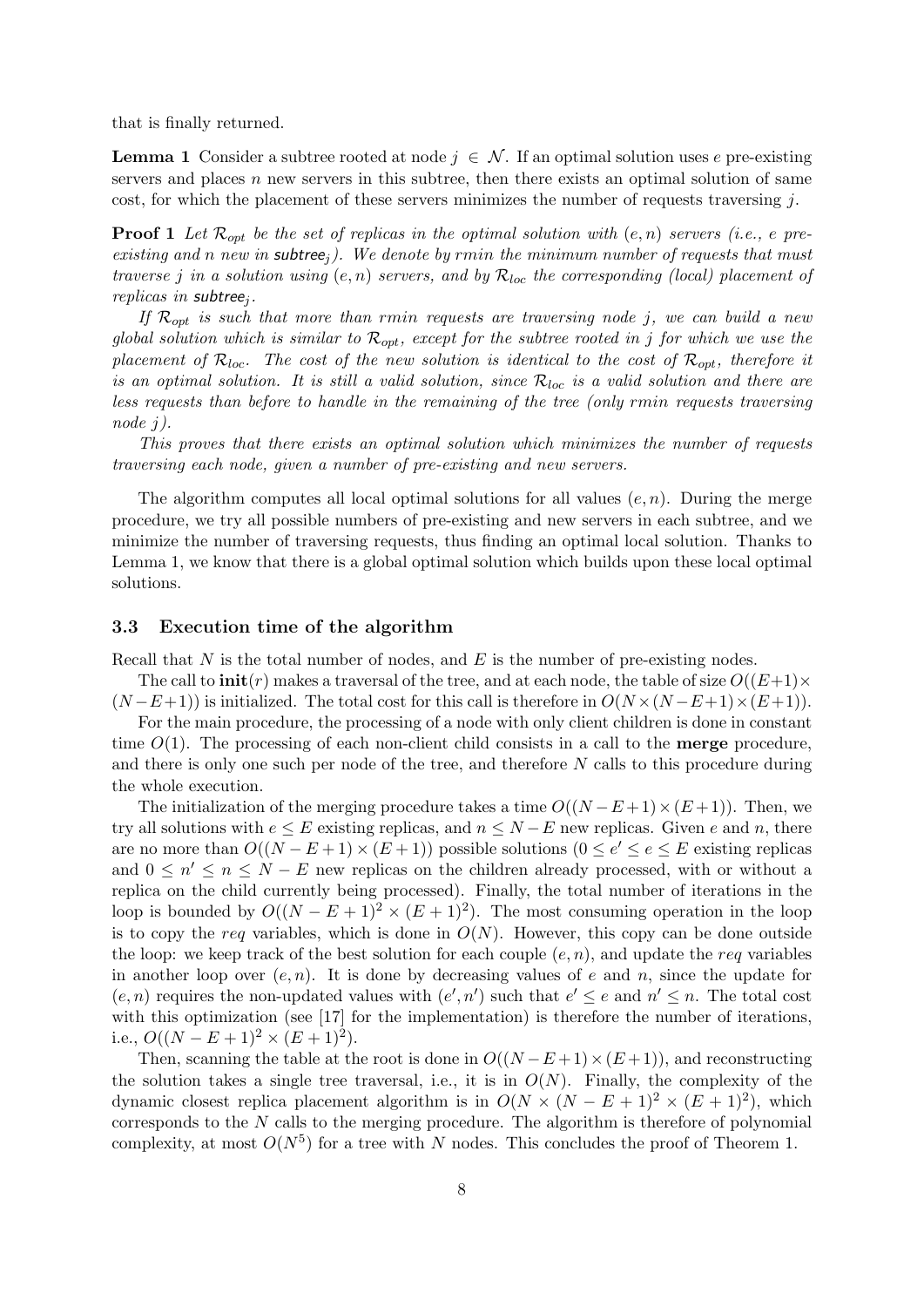that is finally returned.

**Lemma 1** Consider a subtree rooted at node  $j \in \mathcal{N}$ . If an optimal solution uses e pre-existing servers and places  $n$  new servers in this subtree, then there exists an optimal solution of same cost, for which the placement of these servers minimizes the number of requests traversing  $j$ .

**Proof 1** Let  $\mathcal{R}_{opt}$  be the set of replicas in the optimal solution with  $(e, n)$  servers (i.e., e pre*existing and* n *new in* subtree<sup>j</sup> *). We denote by* rmin *the minimum number of requests that must traverse j* in a solution using  $(e, n)$  servers, and by  $\mathcal{R}_{loc}$  the corresponding (local) placement of *replicas in* subtree<sup>j</sup> *.*

*If* Ropt *is such that more than* rmin *requests are traversing node* j*, we can build a new global solution which is similar to* Ropt*, except for the subtree rooted in* j *for which we use the placement of*  $\mathcal{R}_{loc}$ . The cost of the new solution is identical to the cost of  $\mathcal{R}_{opt}$ , therefore it *is an optimal solution. It is still a valid solution, since*  $\mathcal{R}_{loc}$  *is a valid solution and there are less requests than before to handle in the remaining of the tree (only* rmin *requests traversing node* j*).*

*This proves that there exists an optimal solution which minimizes the number of requests traversing each node, given a number of pre-existing and new servers.*

The algorithm computes all local optimal solutions for all values  $(e, n)$ . During the merge procedure, we try all possible numbers of pre-existing and new servers in each subtree, and we minimize the number of traversing requests, thus finding an optimal local solution. Thanks to Lemma 1, we know that there is a global optimal solution which builds upon these local optimal solutions.

#### 3.3 Execution time of the algorithm

Recall that  $N$  is the total number of nodes, and  $E$  is the number of pre-existing nodes.

The call to  $\text{init}(r)$  makes a traversal of the tree, and at each node, the table of size  $O((E+1) \times$  $(N-E+1)$ ) is initialized. The total cost for this call is therefore in  $O(N \times (N-E+1) \times (E+1))$ .

For the main procedure, the processing of a node with only client children is done in constant time  $O(1)$ . The processing of each non-client child consists in a call to the **merge** procedure, and there is only one such per node of the tree, and therefore  $N$  calls to this procedure during the whole execution.

The initialization of the merging procedure takes a time  $O((N - E + 1) \times (E + 1))$ . Then, we try all solutions with  $e \leq E$  existing replicas, and  $n \leq N - E$  new replicas. Given e and n, there are no more than  $O((N - E + 1) \times (E + 1))$  possible solutions  $(0 \le e' \le e \le E$  existing replicas and  $0 \leq n' \leq n \leq N - E$  new replicas on the children already processed, with or without a replica on the child currently being processed). Finally, the total number of iterations in the loop is bounded by  $O((N - E + 1)^2) \times (E + 1)^2$ . The most consuming operation in the loop is to copy the req variables, which is done in  $O(N)$ . However, this copy can be done outside the loop: we keep track of the best solution for each couple  $(e, n)$ , and update the req variables in another loop over  $(e, n)$ . It is done by decreasing values of e and n, since the update for  $(e, n)$  requires the non-updated values with  $(e', n')$  such that  $e' \le e$  and  $n' \le n$ . The total cost with this optimization (see [17] for the implementation) is therefore the number of iterations, i.e.,  $O((N - E + 1)^2 \times (E + 1)^2)$ .

Then, scanning the table at the root is done in  $O((N - E + 1) \times (E + 1))$ , and reconstructing the solution takes a single tree traversal, i.e., it is in  $O(N)$ . Finally, the complexity of the dynamic closest replica placement algorithm is in  $O(N \times (N - E + 1)^2 \times (E + 1)^2)$ , which corresponds to the  $N$  calls to the merging procedure. The algorithm is therefore of polynomial complexity, at most  $O(N^5)$  for a tree with N nodes. This concludes the proof of Theorem 1.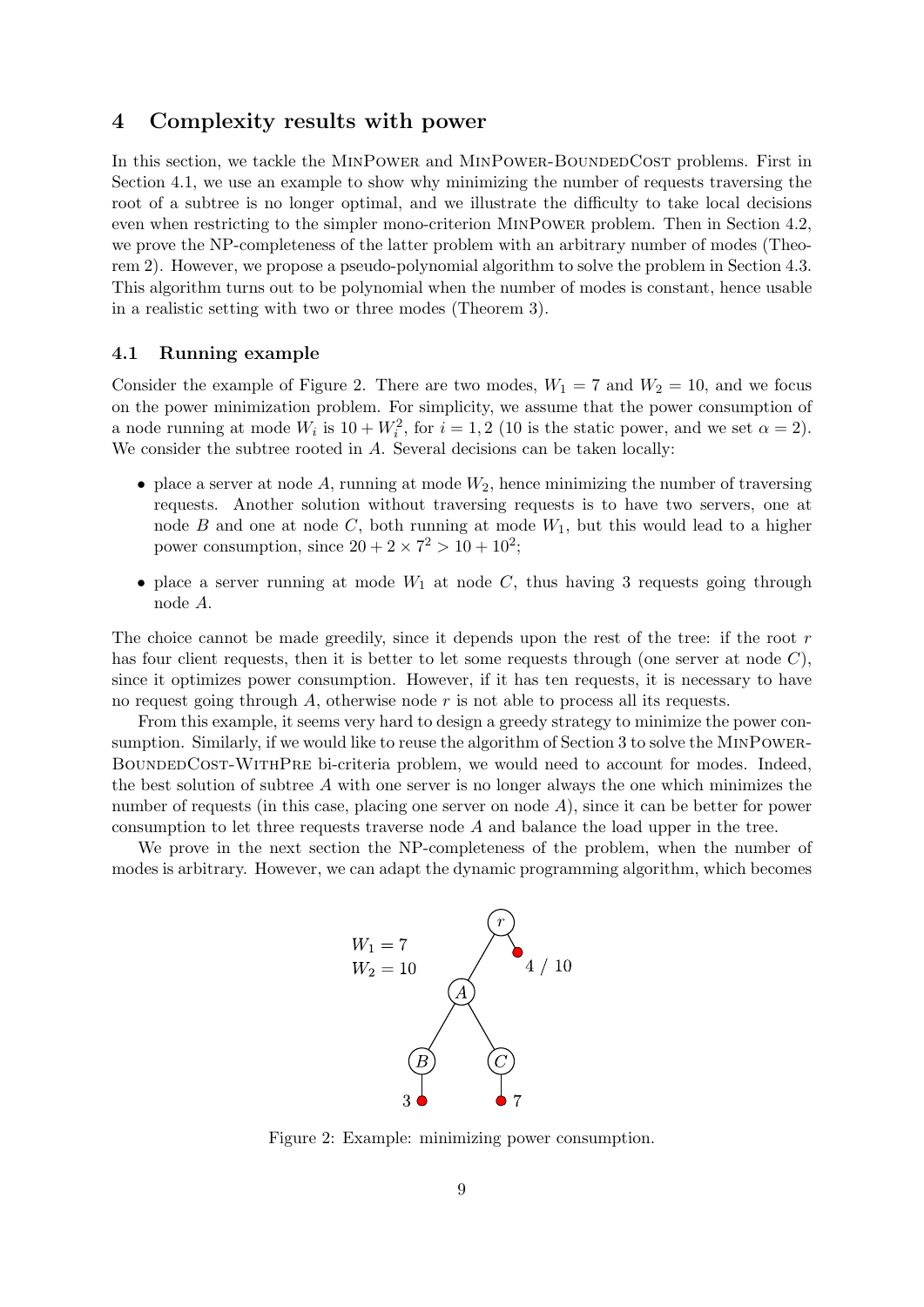## 4 Complexity results with power

In this section, we tackle the MINPOWER and MINPOWER-BOUNDEDCOST problems. First in Section 4.1, we use an example to show why minimizing the number of requests traversing the root of a subtree is no longer optimal, and we illustrate the difficulty to take local decisions even when restricting to the simpler mono-criterion MinPower problem. Then in Section 4.2, we prove the NP-completeness of the latter problem with an arbitrary number of modes (Theorem 2). However, we propose a pseudo-polynomial algorithm to solve the problem in Section 4.3. This algorithm turns out to be polynomial when the number of modes is constant, hence usable in a realistic setting with two or three modes (Theorem 3).

#### 4.1 Running example

Consider the example of Figure 2. There are two modes,  $W_1 = 7$  and  $W_2 = 10$ , and we focus on the power minimization problem. For simplicity, we assume that the power consumption of a node running at mode  $W_i$  is  $10 + W_i^2$ , for  $i = 1, 2$  (10 is the static power, and we set  $\alpha = 2$ ). We consider the subtree rooted in A. Several decisions can be taken locally:

- place a server at node  $A$ , running at mode  $W_2$ , hence minimizing the number of traversing requests. Another solution without traversing requests is to have two servers, one at node  $B$  and one at node  $C$ , both running at mode  $W_1$ , but this would lead to a higher power consumption, since  $20 + 2 \times 7^2 > 10 + 10^2$ ;
- place a server running at mode  $W_1$  at node  $C$ , thus having 3 requests going through node A.

The choice cannot be made greedily, since it depends upon the rest of the tree: if the root  $r$ has four client requests, then it is better to let some requests through (one server at node  $C$ ), since it optimizes power consumption. However, if it has ten requests, it is necessary to have no request going through  $A$ , otherwise node  $r$  is not able to process all its requests.

From this example, it seems very hard to design a greedy strategy to minimize the power consumption. Similarly, if we would like to reuse the algorithm of Section 3 to solve the MinPower-BOUNDEDCOST-WITHPRE bi-criteria problem, we would need to account for modes. Indeed, the best solution of subtree  $A$  with one server is no longer always the one which minimizes the number of requests (in this case, placing one server on node  $A$ ), since it can be better for power consumption to let three requests traverse node A and balance the load upper in the tree.

We prove in the next section the NP-completeness of the problem, when the number of modes is arbitrary. However, we can adapt the dynamic programming algorithm, which becomes



Figure 2: Example: minimizing power consumption.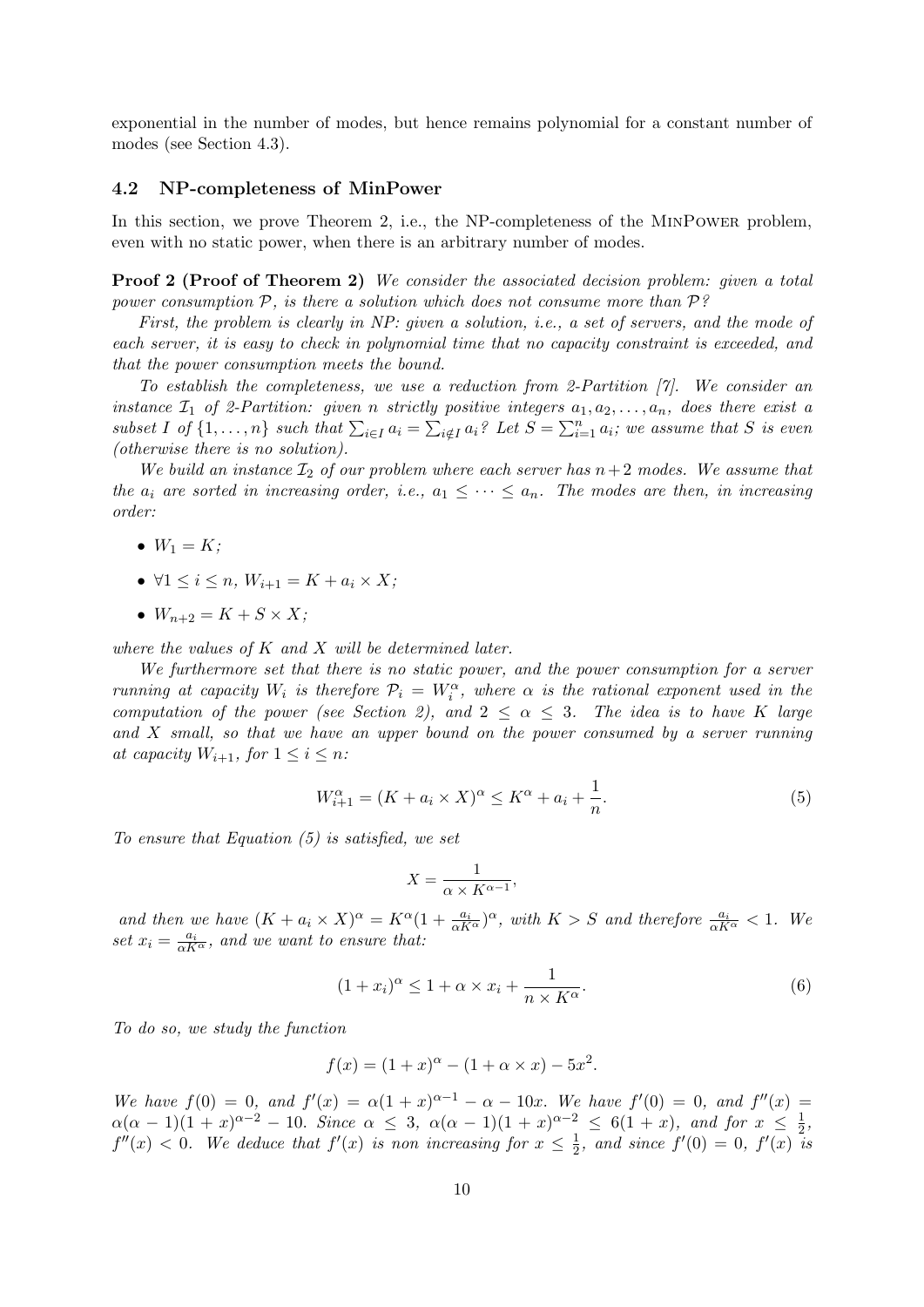exponential in the number of modes, but hence remains polynomial for a constant number of modes (see Section 4.3).

#### 4.2 NP-completeness of MinPower

In this section, we prove Theorem 2, i.e., the NP-completeness of the MINPOWER problem, even with no static power, when there is an arbitrary number of modes.

Proof 2 (Proof of Theorem 2) *We consider the associated decision problem: given a total power consumption* P*, is there a solution which does not consume more than* P*?*

*First, the problem is clearly in NP: given a solution, i.e., a set of servers, and the mode of each server, it is easy to check in polynomial time that no capacity constraint is exceeded, and that the power consumption meets the bound.*

*To establish the completeness, we use a reduction from 2-Partition [7]. We consider an instance*  $\mathcal{I}_1$  *of 2-Partition: given n strictly positive integers*  $a_1, a_2, \ldots, a_n$ *, does there exist a* subset I of  $\{1,\ldots,n\}$  such that  $\sum_{i\in I} a_i = \sum_{i\notin I} a_i$ ? Let  $S = \sum_{i=1}^n a_i$ *; we assume that* S is even *(otherwise there is no solution).*

*We build an instance*  $\mathcal{I}_2$  *of our problem where each server has*  $n+2$  *modes. We assume that the*  $a_i$  are sorted in increasing order, i.e.,  $a_1 \leq \cdots \leq a_n$ . The modes are then, in increasing *order:*

- $W_1 = K$ ;
- $\forall 1 \le i \le n, W_{i+1} = K + a_i \times X;$
- $W_{n+2} = K + S \times X$ ;

*where the values of* K *and* X *will be determined later.*

*We furthermore set that there is no static power, and the power consumption for a server running at capacity*  $W_i$  *is therefore*  $P_i = W_i^{\alpha}$ , where  $\alpha$  *is the rational exponent used in the computation of the power (see Section 2), and*  $2 \leq \alpha \leq 3$ *. The idea is to have* K *large and* X *small, so that we have an upper bound on the power consumed by a server running at capacity*  $W_{i+1}$ *, for*  $1 \leq i \leq n$ *:* 

$$
W_{i+1}^{\alpha} = (K + a_i \times X)^{\alpha} \le K^{\alpha} + a_i + \frac{1}{n}.\tag{5}
$$

*To ensure that Equation (5) is satisfied, we set*

$$
X = \frac{1}{\alpha \times K^{\alpha - 1}},
$$

*and then we have*  $(K + a_i \times X)^{\alpha} = K^{\alpha} (1 + \frac{a_i}{\alpha K^{\alpha}})^{\alpha}$ , with  $K > S$  *and therefore*  $\frac{a_i}{\alpha K^{\alpha}} < 1$ . We set  $x_i = \frac{a_i}{\alpha K^{\alpha}}$ , and we want to ensure that:

$$
(1+x_i)^{\alpha} \le 1 + \alpha \times x_i + \frac{1}{n \times K^{\alpha}}.
$$
\n<sup>(6)</sup>

*To do so, we study the function*

$$
f(x) = (1+x)^{\alpha} - (1+\alpha \times x) - 5x^2.
$$

*We have*  $f(0) = 0$ *, and*  $f'(x) = \alpha(1+x)^{\alpha-1} - \alpha - 10x$ *. We have*  $f'(0) = 0$ *, and*  $f''(x) = 0$  $\alpha(\alpha-1)(1+x)^{\alpha-2} - 10$ . Since  $\alpha \leq 3$ ,  $\alpha(\alpha-1)(1+x)^{\alpha-2} \leq 6(1+x)$ , and for  $x \leq \frac{1}{2}$  $\frac{1}{2}$ ,  $f''(x) < 0$ . We deduce that  $f'(x)$  is non increasing for  $x \leq \frac{1}{2}$  $\frac{1}{2}$ *, and since*  $f'(0) = 0$ *,*  $f'(x)$  *is*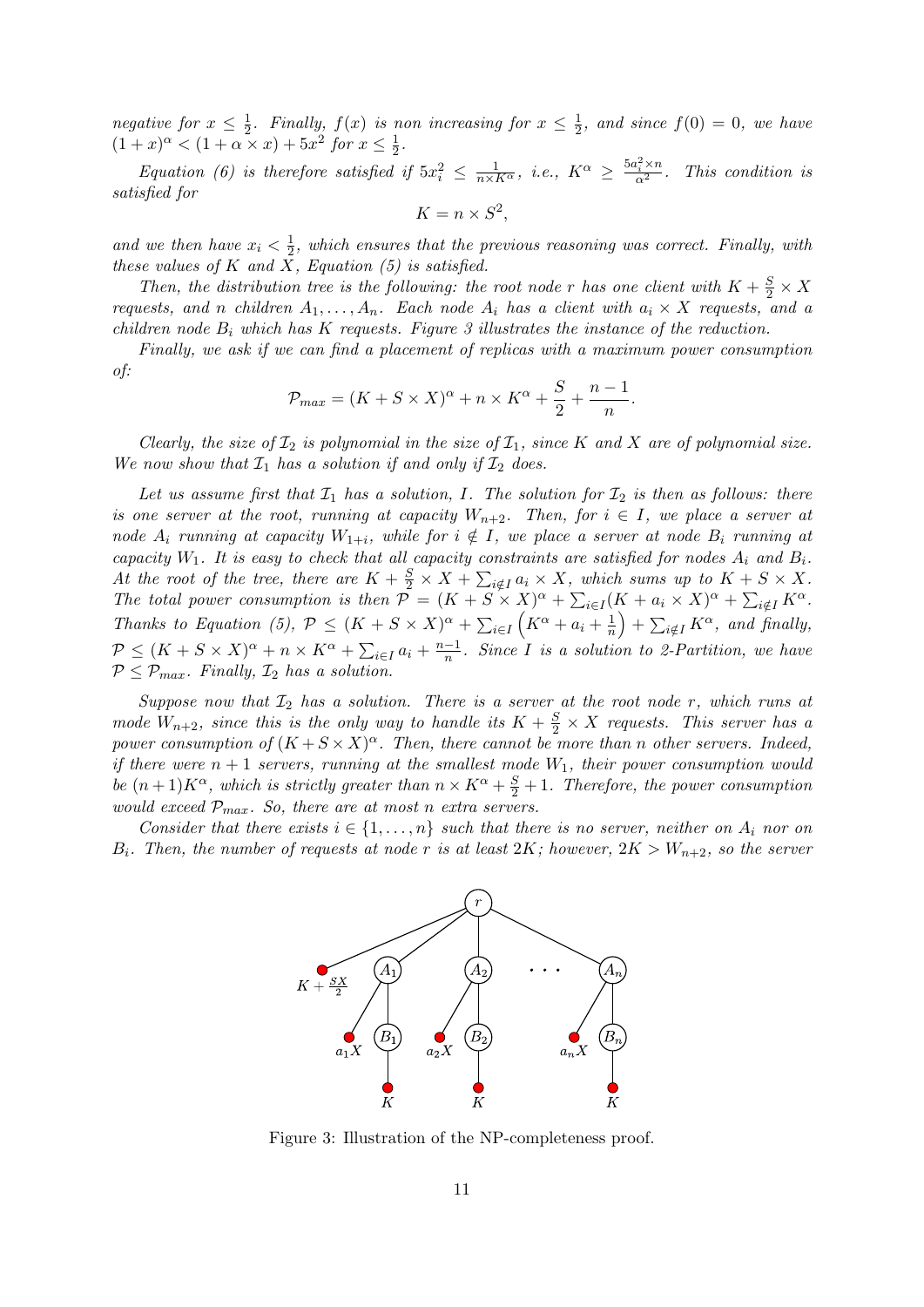*negative for*  $x \leq \frac{1}{2}$  $\frac{1}{2}$ . Finally,  $f(x)$  is non increasing for  $x \leq \frac{1}{2}$  $\frac{1}{2}$ *, and since*  $f(0) = 0$ *, we have*  $(1+x)^{\alpha} < (1+\alpha \times x) + 5x^2$  for  $x \leq \frac{1}{2}$ . 2

*Equation (6) is therefore satisfied if*  $5x_i^2 \leq \frac{1}{n \times K^{\alpha}}$ , *i.e.*,  $K^{\alpha} \geq \frac{5a_i^2 \times n}{\alpha^2}$ . This condition is *satisfied for*

$$
K = n \times S^2,
$$

*and we then have*  $x_i < \frac{1}{2}$  $\frac{1}{2}$ , which ensures that the previous reasoning was correct. Finally, with *these values of* K *and* X*, Equation (5) is satisfied.*

Then, the distribution tree is the following: the root node r has one client with  $K + \frac{S}{2} \times X$ *requests, and n children*  $A_1, \ldots, A_n$ . Each node  $A_i$  has a client with  $a_i \times X$  requests, and a *children node* B<sup>i</sup> *which has* K *requests. Figure 3 illustrates the instance of the reduction.*

*Finally, we ask if we can find a placement of replicas with a maximum power consumption of:*

$$
\mathcal{P}_{max} = (K + S \times X)^{\alpha} + n \times K^{\alpha} + \frac{S}{2} + \frac{n-1}{n}.
$$

*Clearly, the size of*  $\mathcal{I}_2$  *is polynomial in the size of*  $\mathcal{I}_1$ *, since* K *and* X *are of polynomial size.* We now show that  $\mathcal{I}_1$  has a solution if and only if  $\mathcal{I}_2$  does.

Let us assume first that  $I_1$  has a solution, I. The solution for  $I_2$  is then as follows: there *is one server at the root, running at capacity*  $W_{n+2}$ *. Then, for*  $i \in I$ *, we place a server at node*  $A_i$  *running at capacity*  $W_{1+i}$ *, while for*  $i \notin I$ *, we place a server at node*  $B_i$  *running at capacity*  $W_1$ *. It is easy to check that all capacity constraints are satisfied for nodes*  $A_i$  *and*  $B_i$ *.* At the root of the tree, there are  $K + \frac{S}{2} \times X + \sum_{i \notin I} a_i \times X$ , which sums up to  $K + S \times X$ . The total power consumption is then  $\overline{\mathcal{P}} = (K + S \times X)^{\alpha} + \sum_{i \in I} (K + a_i \times X)^{\alpha} + \sum_{i \notin I} K^{\alpha}$ . *Thanks to Equation (5),*  $\mathcal{P} \leq (K + S \times X)^{\alpha} + \sum_{i \in I} (K^{\alpha} + a_i + \frac{1}{n})$  $\left(\frac{1}{n}\right) + \sum_{i \notin I} K^{\alpha}$ , and finally,  $\mathcal{P} \leq (K + S \times X)^{\alpha} + n \times K^{\alpha} + \sum_{i \in I} a_i + \frac{n-1}{n}$  $\frac{-1}{n}$ *. Since I is a solution to 2-Partition, we have*  $P \leq P_{max}$ . Finally,  $\mathcal{I}_2$  has a solution.

*Suppose now that* I<sup>2</sup> *has a solution. There is a server at the root node* r*, which runs at mode*  $W_{n+2}$ *, since this is the only way to handle its*  $K + \frac{S}{2} \times X$  *requests. This server has a power consumption of*  $(K + S \times X)^{\alpha}$ . Then, there cannot be more than n other servers. Indeed, *if there were*  $n + 1$  *servers, running at the smallest mode*  $W_1$ *, their power consumption would be*  $(n+1)K^{\alpha}$ , which is strictly greater than  $n \times K^{\alpha} + \frac{S}{2} + 1$ . Therefore, the power consumption *would exceed* Pmax*. So, there are at most* n *extra servers.*

*Consider that there exists*  $i \in \{1, \ldots, n\}$  *such that there is no server, neither on*  $A_i$  *nor on*  $B_i$ . Then, the number of requests at node r is at least  $2K$ ; however,  $2K > W_{n+2}$ , so the server



Figure 3: Illustration of the NP-completeness proof.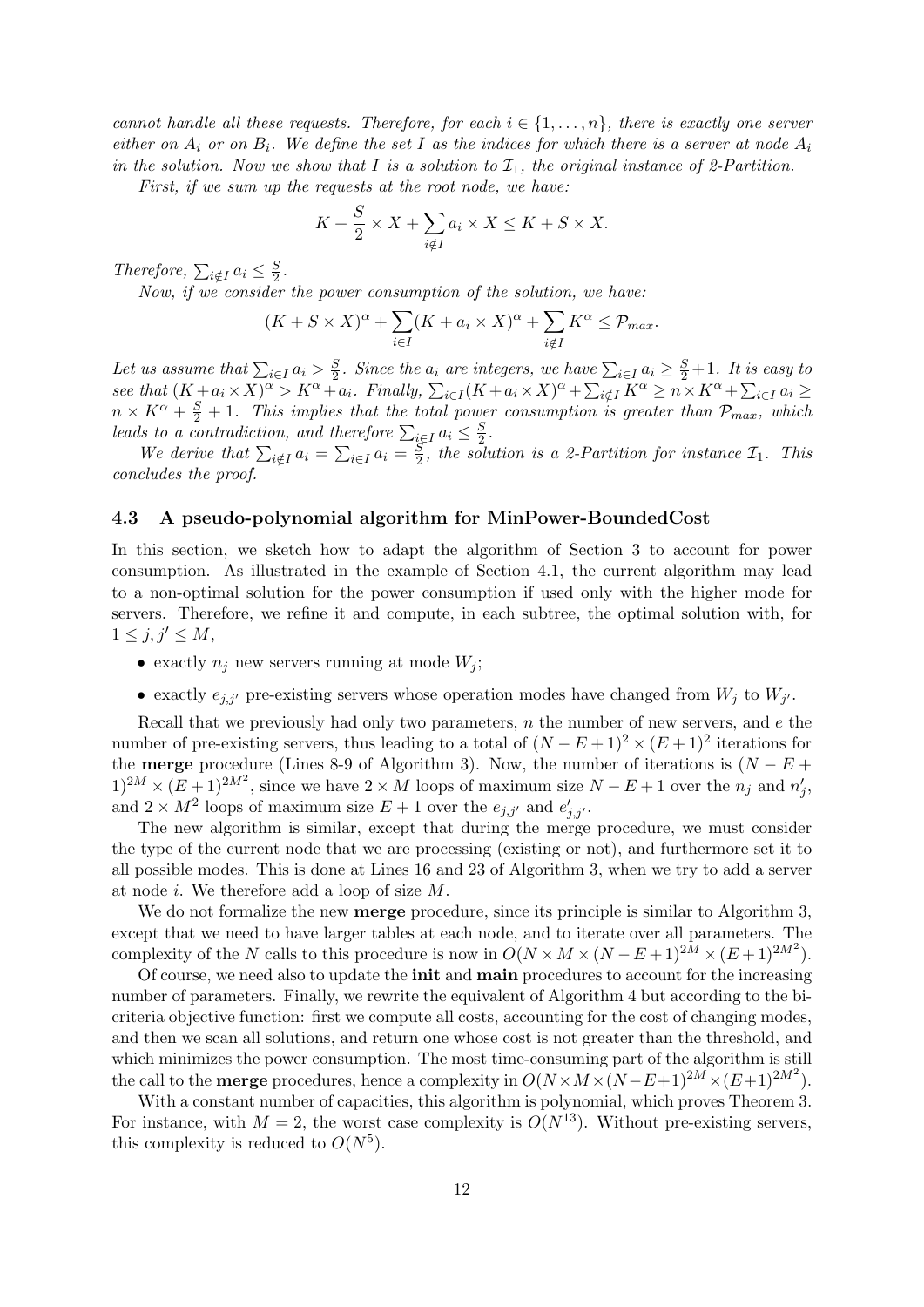*cannot handle all these requests. Therefore, for each*  $i \in \{1, \ldots, n\}$ *, there is exactly one server either on*  $A_i$  *or on*  $B_i$ *. We define the set* I *as the indices for which there is a server at node*  $A_i$ *in the solution. Now we show that* I *is a solution to*  $I_1$ *, the original instance of 2-Partition.* 

*First, if we sum up the requests at the root node, we have:*

$$
K + \frac{S}{2} \times X + \sum_{i \notin I} a_i \times X \le K + S \times X.
$$

*Therefore,*  $\sum_{i \notin I} a_i \leq \frac{S}{2}$  $\frac{S}{2}$ .

*Now, if we consider the power consumption of the solution, we have:*

$$
(K+S\times X)^{\alpha} + \sum_{i\in I} (K+a_i\times X)^{\alpha} + \sum_{i\notin I} K^{\alpha} \leq \mathcal{P}_{max}.
$$

Let us assume that  $\sum_{i\in I} a_i > \frac{S}{2}$  $\frac{S}{2}$ *. Since the*  $a_i$  are integers, we have  $\sum_{i\in I} a_i \geq \frac{S}{2} + 1$ *. It is easy to* see that  $(K + a_i \times X)^{\alpha} > K^{\alpha} + a_i$ . Finally,  $\sum_{i \in I} (K + a_i \times X)^{\alpha} + \sum_{i \notin I} K^{\alpha} \geq n \times K^{\alpha} + \sum_{i \in I} a_i \geq$  $n \times K^{\alpha} + \frac{S}{2} + 1$ . This implies that the total power consumption is greater than  $\mathcal{P}_{max}$ , which *leads to a contradiction, and therefore*  $\sum_{i \in I} a_i \leq \frac{S}{2}$  $\frac{S}{2}$ .

*We derive that*  $\sum_{i \notin I} a_i = \sum_{i \in I} a_i = \frac{S}{2}$  $\frac{S}{2}$ , the solution is a 2-Partition for instance  $\mathcal{I}_1$ *.* This *concludes the proof.*

#### 4.3 A pseudo-polynomial algorithm for MinPower-BoundedCost

In this section, we sketch how to adapt the algorithm of Section 3 to account for power consumption. As illustrated in the example of Section 4.1, the current algorithm may lead to a non-optimal solution for the power consumption if used only with the higher mode for servers. Therefore, we refine it and compute, in each subtree, the optimal solution with, for  $1 \leq j, j' \leq M$ ,

- exactly  $n_i$  new servers running at mode  $W_i$ ;
- exactly  $e_{j,j'}$  pre-existing servers whose operation modes have changed from  $W_j$  to  $W_{j'}$ .

Recall that we previously had only two parameters,  $n$  the number of new servers, and  $e$  the number of pre-existing servers, thus leading to a total of  $(N - E + 1)^2 \times (E + 1)^2$  iterations for the **merge** procedure (Lines 8-9 of Algorithm 3). Now, the number of iterations is  $(N - E +$  $(1)^{2M} \times (E+1)^{2M^2}$ , since we have  $2 \times M$  loops of maximum size  $N-E+1$  over the  $n_j$  and  $n'_j$ , and  $2 \times M^2$  loops of maximum size  $E + 1$  over the  $e_{j,j'}$  and  $e'_{j,j'}$ .

The new algorithm is similar, except that during the merge procedure, we must consider the type of the current node that we are processing (existing or not), and furthermore set it to all possible modes. This is done at Lines 16 and 23 of Algorithm 3, when we try to add a server at node i. We therefore add a loop of size M.

We do not formalize the new **merge** procedure, since its principle is similar to Algorithm 3, except that we need to have larger tables at each node, and to iterate over all parameters. The complexity of the N calls to this procedure is now in  $O(N \times M \times (N - E + 1)^{2M} \times (E + 1)^{2M^2})$ .

Of course, we need also to update the init and main procedures to account for the increasing number of parameters. Finally, we rewrite the equivalent of Algorithm 4 but according to the bicriteria objective function: first we compute all costs, accounting for the cost of changing modes, and then we scan all solutions, and return one whose cost is not greater than the threshold, and which minimizes the power consumption. The most time-consuming part of the algorithm is still the call to the **merge** procedures, hence a complexity in  $O(N \times N \times (N - E + 1)^{2M} \times (E + 1)^{2M^2})$ .

With a constant number of capacities, this algorithm is polynomial, which proves Theorem 3. For instance, with  $M = 2$ , the worst case complexity is  $O(N^{13})$ . Without pre-existing servers, this complexity is reduced to  $O(N^5)$ .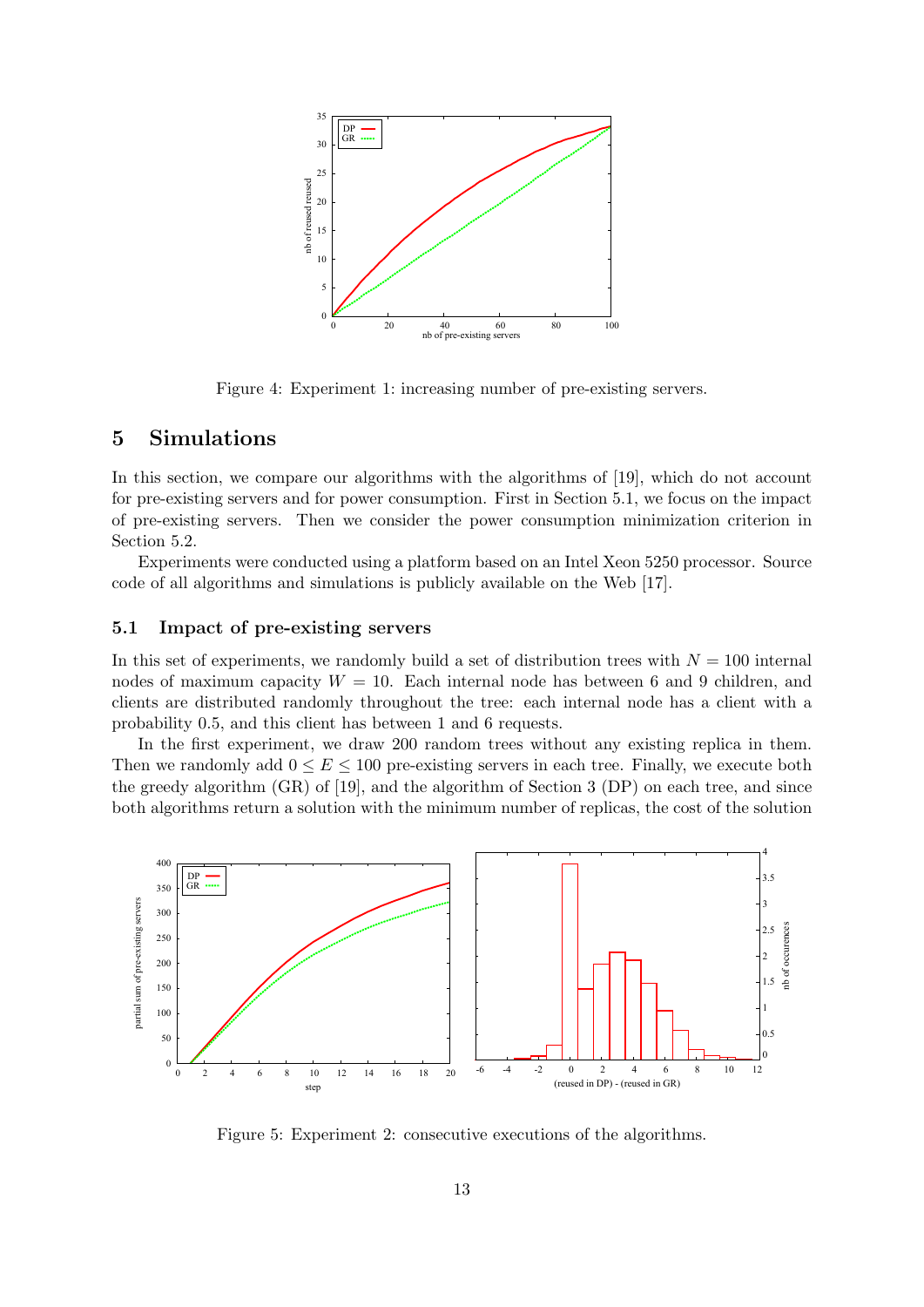

Figure 4: Experiment 1: increasing number of pre-existing servers.

## 5 Simulations

In this section, we compare our algorithms with the algorithms of [19], which do not account for pre-existing servers and for power consumption. First in Section 5.1, we focus on the impact of pre-existing servers. Then we consider the power consumption minimization criterion in Section 5.2.

Experiments were conducted using a platform based on an Intel Xeon 5250 processor. Source code of all algorithms and simulations is publicly available on the Web [17].

#### 5.1 Impact of pre-existing servers

In this set of experiments, we randomly build a set of distribution trees with  $N = 100$  internal nodes of maximum capacity  $W = 10$ . Each internal node has between 6 and 9 children, and clients are distributed randomly throughout the tree: each internal node has a client with a probability 0.5, and this client has between 1 and 6 requests.

In the first experiment, we draw 200 random trees without any existing replica in them. Then we randomly add  $0 \leq E \leq 100$  pre-existing servers in each tree. Finally, we execute both the greedy algorithm (GR) of [19], and the algorithm of Section 3 (DP) on each tree, and since both algorithms return a solution with the minimum number of replicas, the cost of the solution



Figure 5: Experiment 2: consecutive executions of the algorithms.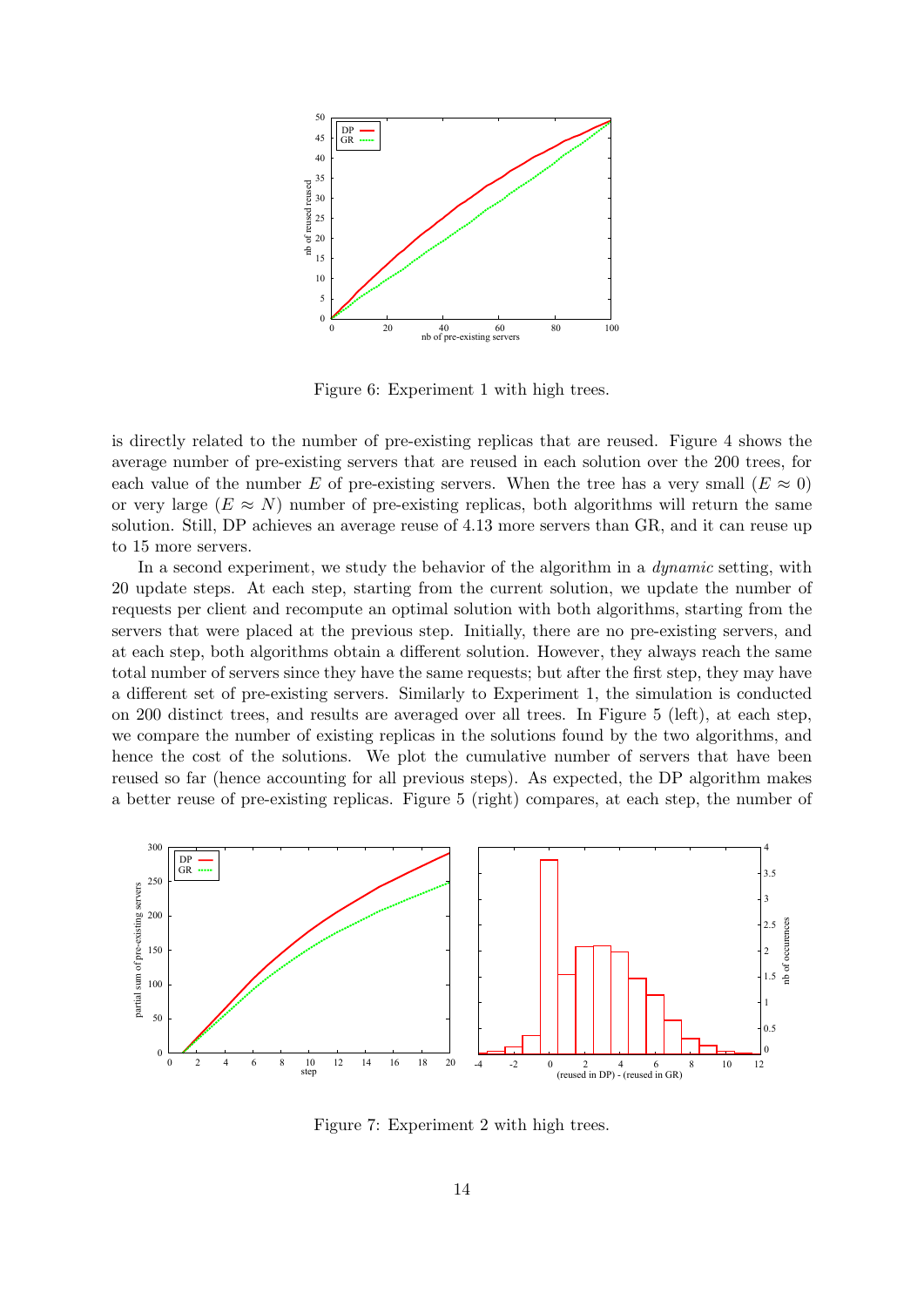

Figure 6: Experiment 1 with high trees.

is directly related to the number of pre-existing replicas that are reused. Figure 4 shows the average number of pre-existing servers that are reused in each solution over the 200 trees, for each value of the number E of pre-existing servers. When the tree has a very small ( $E \approx 0$ ) or very large  $(E \approx N)$  number of pre-existing replicas, both algorithms will return the same solution. Still, DP achieves an average reuse of 4.13 more servers than GR, and it can reuse up to 15 more servers.

In a second experiment, we study the behavior of the algorithm in a *dynamic* setting, with 20 update steps. At each step, starting from the current solution, we update the number of requests per client and recompute an optimal solution with both algorithms, starting from the servers that were placed at the previous step. Initially, there are no pre-existing servers, and at each step, both algorithms obtain a different solution. However, they always reach the same total number of servers since they have the same requests; but after the first step, they may have a different set of pre-existing servers. Similarly to Experiment 1, the simulation is conducted on 200 distinct trees, and results are averaged over all trees. In Figure 5 (left), at each step, we compare the number of existing replicas in the solutions found by the two algorithms, and hence the cost of the solutions. We plot the cumulative number of servers that have been reused so far (hence accounting for all previous steps). As expected, the DP algorithm makes a better reuse of pre-existing replicas. Figure 5 (right) compares, at each step, the number of



Figure 7: Experiment 2 with high trees.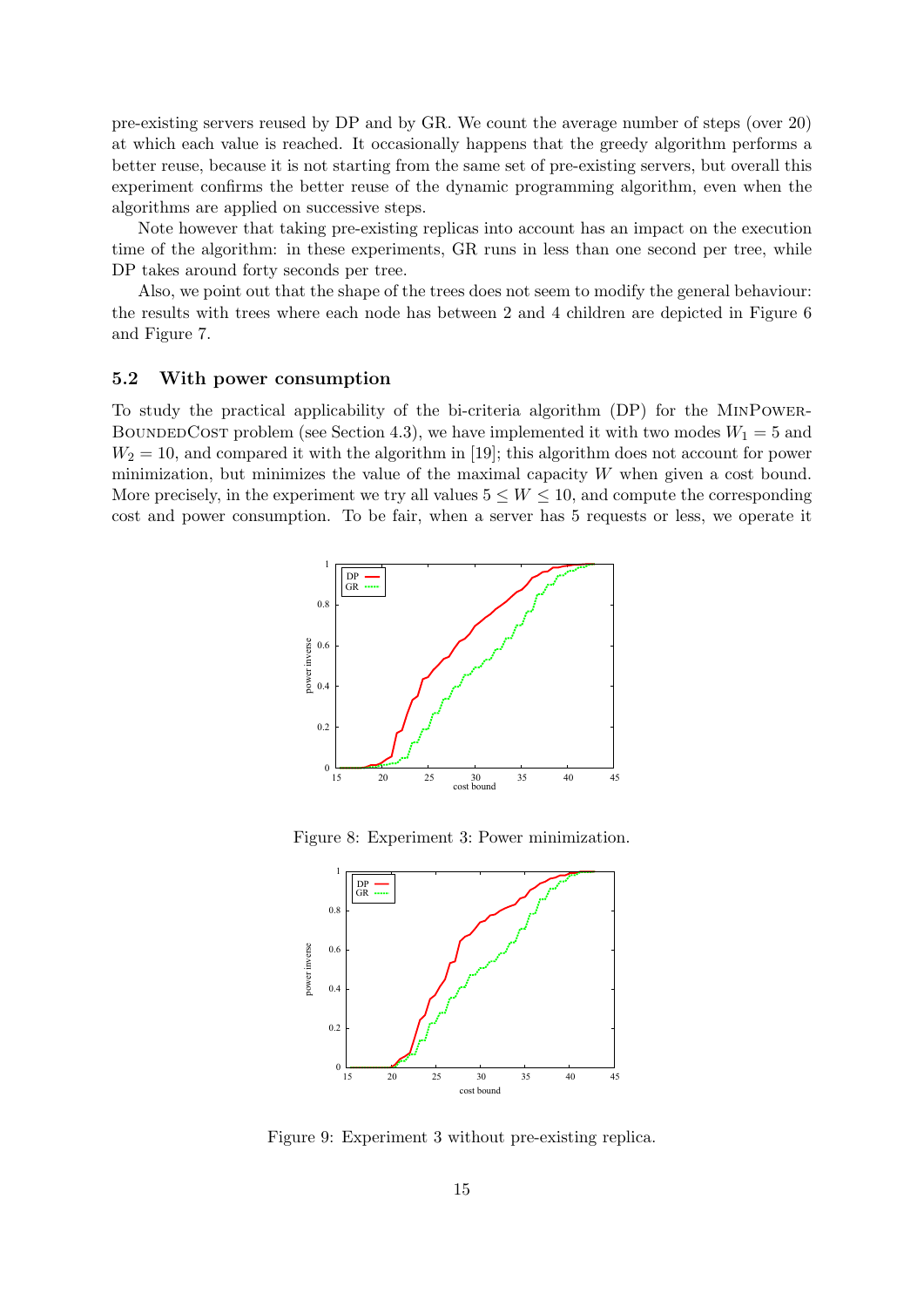pre-existing servers reused by DP and by GR. We count the average number of steps (over 20) at which each value is reached. It occasionally happens that the greedy algorithm performs a better reuse, because it is not starting from the same set of pre-existing servers, but overall this experiment confirms the better reuse of the dynamic programming algorithm, even when the algorithms are applied on successive steps.

Note however that taking pre-existing replicas into account has an impact on the execution time of the algorithm: in these experiments, GR runs in less than one second per tree, while DP takes around forty seconds per tree.

Also, we point out that the shape of the trees does not seem to modify the general behaviour: the results with trees where each node has between 2 and 4 children are depicted in Figure 6 and Figure 7.

#### 5.2 With power consumption

To study the practical applicability of the bi-criteria algorithm (DP) for the MinPower-BOUNDEDCOST problem (see Section 4.3), we have implemented it with two modes  $W_1 = 5$  and  $W_2 = 10$ , and compared it with the algorithm in [19]; this algorithm does not account for power minimization, but minimizes the value of the maximal capacity  $W$  when given a cost bound. More precisely, in the experiment we try all values  $5 \leq W \leq 10$ , and compute the corresponding cost and power consumption. To be fair, when a server has 5 requests or less, we operate it



Figure 8: Experiment 3: Power minimization.



Figure 9: Experiment 3 without pre-existing replica.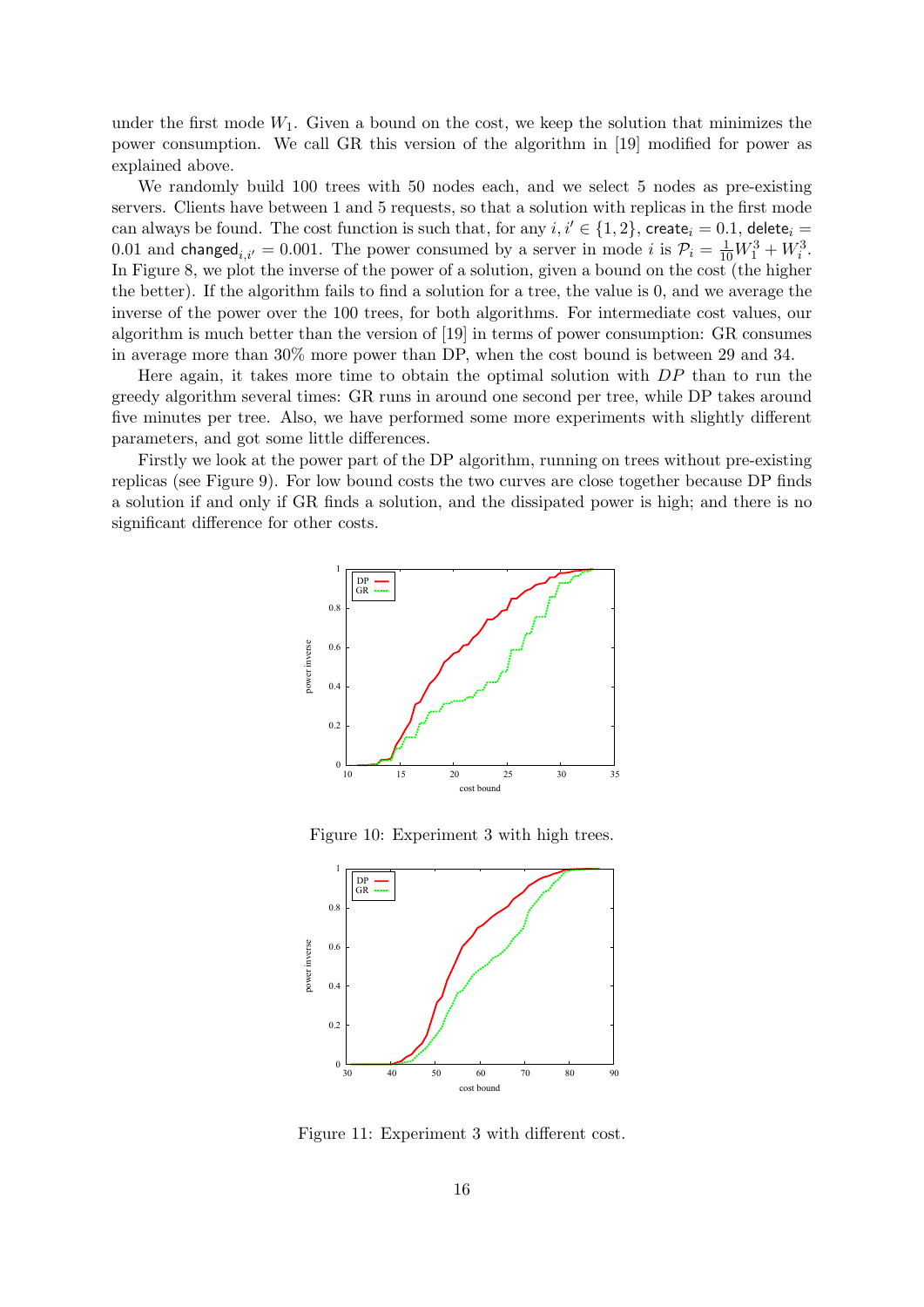under the first mode  $W_1$ . Given a bound on the cost, we keep the solution that minimizes the power consumption. We call GR this version of the algorithm in [19] modified for power as explained above.

We randomly build 100 trees with 50 nodes each, and we select 5 nodes as pre-existing servers. Clients have between 1 and 5 requests, so that a solution with replicas in the first mode can always be found. The cost function is such that, for any  $i, i' \in \{1, 2\}$ , create<sub>i</sub> = 0.1, delete<sub>i</sub> = 0.01 and changed<sub>i,i'</sub> = 0.001. The power consumed by a server in mode i is  $P_i = \frac{1}{10}W_1^3 + W_i^3$ . In Figure 8, we plot the inverse of the power of a solution, given a bound on the cost (the higher the better). If the algorithm fails to find a solution for a tree, the value is 0, and we average the inverse of the power over the 100 trees, for both algorithms. For intermediate cost values, our algorithm is much better than the version of [19] in terms of power consumption: GR consumes in average more than 30% more power than DP, when the cost bound is between 29 and 34.

Here again, it takes more time to obtain the optimal solution with DP than to run the greedy algorithm several times: GR runs in around one second per tree, while DP takes around five minutes per tree. Also, we have performed some more experiments with slightly different parameters, and got some little differences.

Firstly we look at the power part of the DP algorithm, running on trees without pre-existing replicas (see Figure 9). For low bound costs the two curves are close together because DP finds a solution if and only if GR finds a solution, and the dissipated power is high; and there is no significant difference for other costs.



Figure 10: Experiment 3 with high trees.



Figure 11: Experiment 3 with different cost.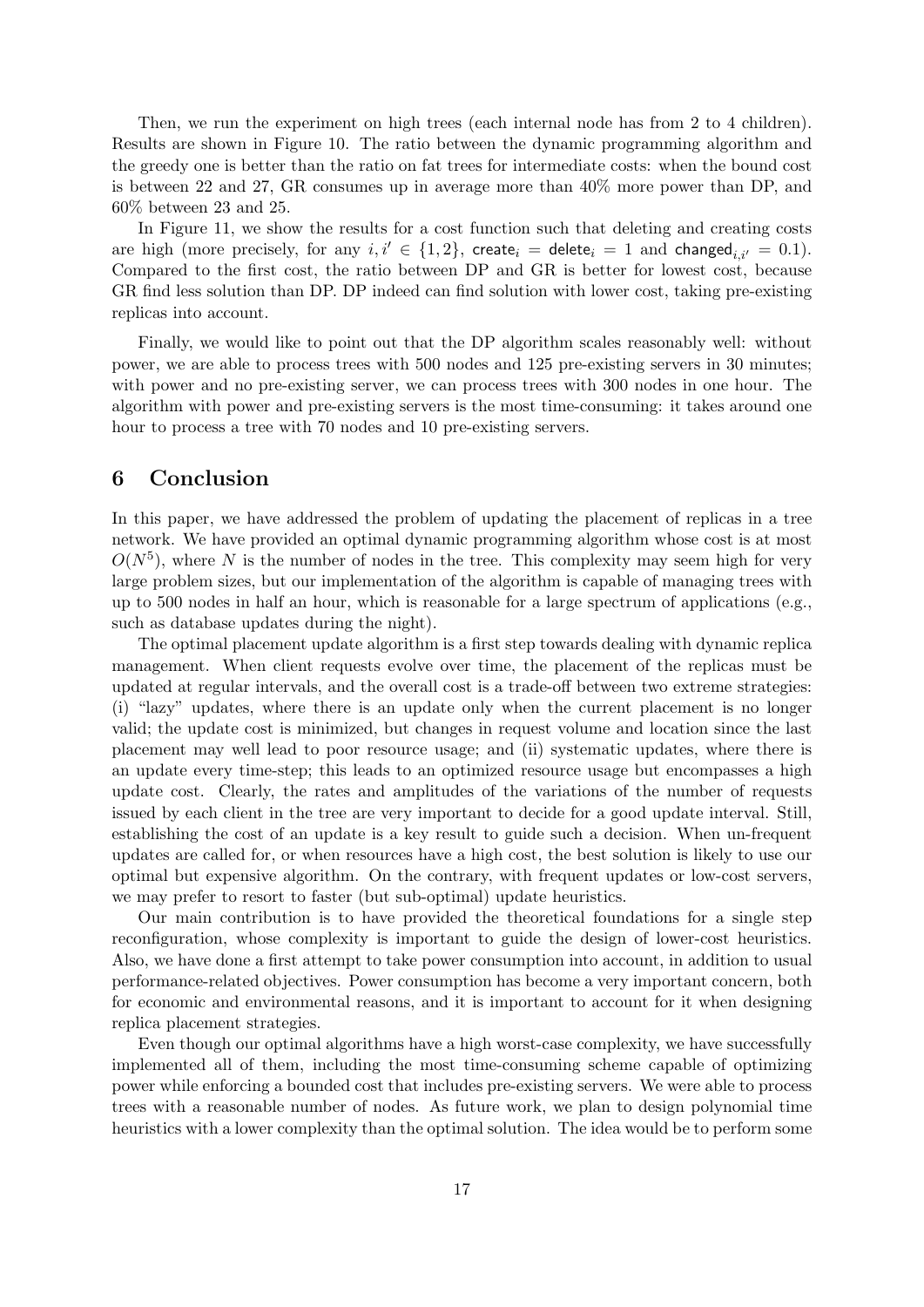Then, we run the experiment on high trees (each internal node has from 2 to 4 children). Results are shown in Figure 10. The ratio between the dynamic programming algorithm and the greedy one is better than the ratio on fat trees for intermediate costs: when the bound cost is between 22 and 27, GR consumes up in average more than 40% more power than DP, and 60% between 23 and 25.

In Figure 11, we show the results for a cost function such that deleting and creating costs are high (more precisely, for any  $i, i' \in \{1, 2\}$ , create<sub>i</sub> = delete<sub>i</sub> = 1 and changed<sub>i,i'</sub> = 0.1). Compared to the first cost, the ratio between DP and GR is better for lowest cost, because GR find less solution than DP. DP indeed can find solution with lower cost, taking pre-existing replicas into account.

Finally, we would like to point out that the DP algorithm scales reasonably well: without power, we are able to process trees with 500 nodes and 125 pre-existing servers in 30 minutes; with power and no pre-existing server, we can process trees with 300 nodes in one hour. The algorithm with power and pre-existing servers is the most time-consuming: it takes around one hour to process a tree with 70 nodes and 10 pre-existing servers.

## 6 Conclusion

In this paper, we have addressed the problem of updating the placement of replicas in a tree network. We have provided an optimal dynamic programming algorithm whose cost is at most  $O(N<sup>5</sup>)$ , where N is the number of nodes in the tree. This complexity may seem high for very large problem sizes, but our implementation of the algorithm is capable of managing trees with up to 500 nodes in half an hour, which is reasonable for a large spectrum of applications (e.g., such as database updates during the night).

The optimal placement update algorithm is a first step towards dealing with dynamic replica management. When client requests evolve over time, the placement of the replicas must be updated at regular intervals, and the overall cost is a trade-off between two extreme strategies: (i) "lazy" updates, where there is an update only when the current placement is no longer valid; the update cost is minimized, but changes in request volume and location since the last placement may well lead to poor resource usage; and (ii) systematic updates, where there is an update every time-step; this leads to an optimized resource usage but encompasses a high update cost. Clearly, the rates and amplitudes of the variations of the number of requests issued by each client in the tree are very important to decide for a good update interval. Still, establishing the cost of an update is a key result to guide such a decision. When un-frequent updates are called for, or when resources have a high cost, the best solution is likely to use our optimal but expensive algorithm. On the contrary, with frequent updates or low-cost servers, we may prefer to resort to faster (but sub-optimal) update heuristics.

Our main contribution is to have provided the theoretical foundations for a single step reconfiguration, whose complexity is important to guide the design of lower-cost heuristics. Also, we have done a first attempt to take power consumption into account, in addition to usual performance-related objectives. Power consumption has become a very important concern, both for economic and environmental reasons, and it is important to account for it when designing replica placement strategies.

Even though our optimal algorithms have a high worst-case complexity, we have successfully implemented all of them, including the most time-consuming scheme capable of optimizing power while enforcing a bounded cost that includes pre-existing servers. We were able to process trees with a reasonable number of nodes. As future work, we plan to design polynomial time heuristics with a lower complexity than the optimal solution. The idea would be to perform some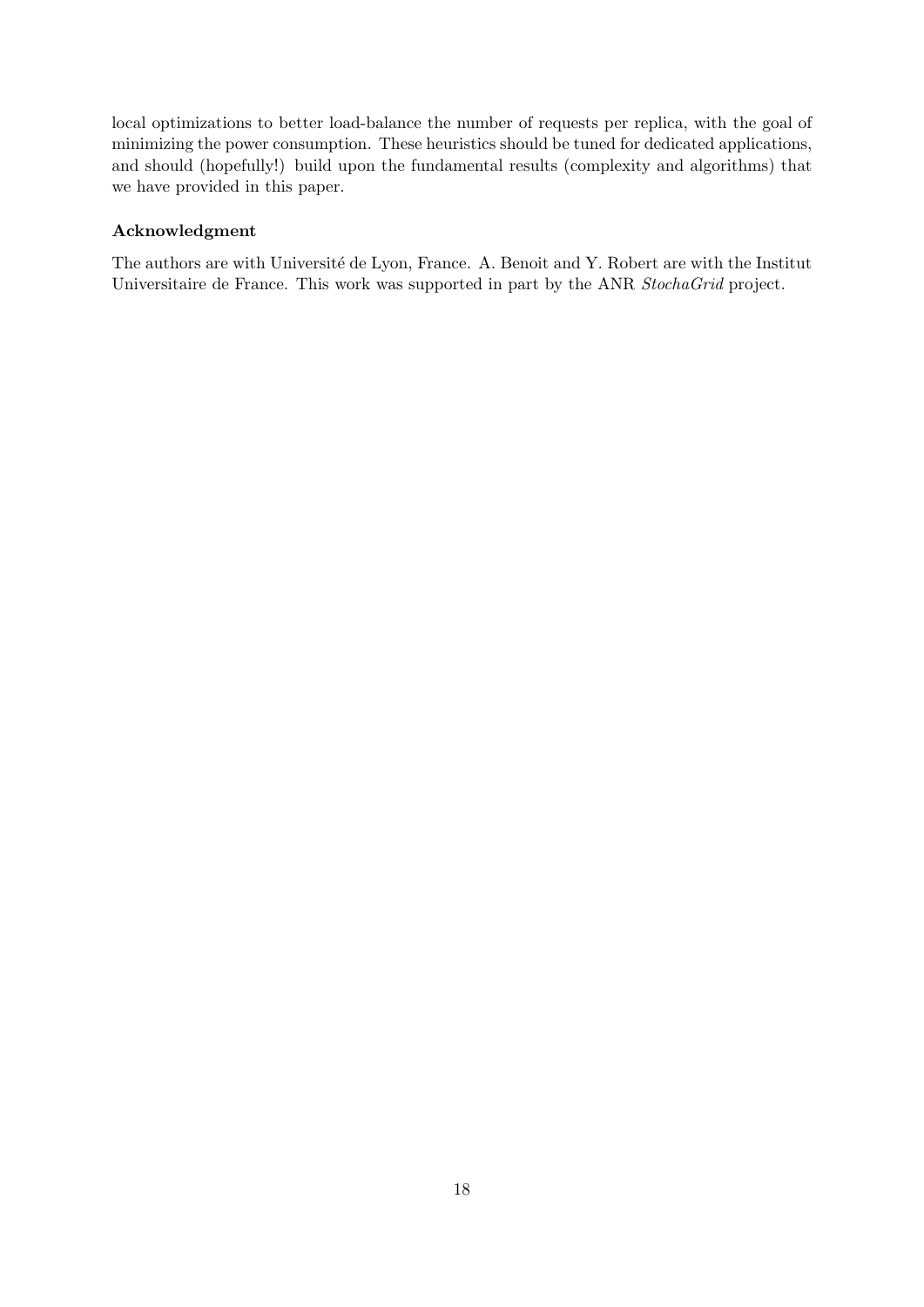local optimizations to better load-balance the number of requests per replica, with the goal of minimizing the power consumption. These heuristics should be tuned for dedicated applications, and should (hopefully!) build upon the fundamental results (complexity and algorithms) that we have provided in this paper.

#### Acknowledgment

The authors are with Université de Lyon, France. A. Benoit and Y. Robert are with the Institut Universitaire de France. This work was supported in part by the ANR *StochaGrid* project.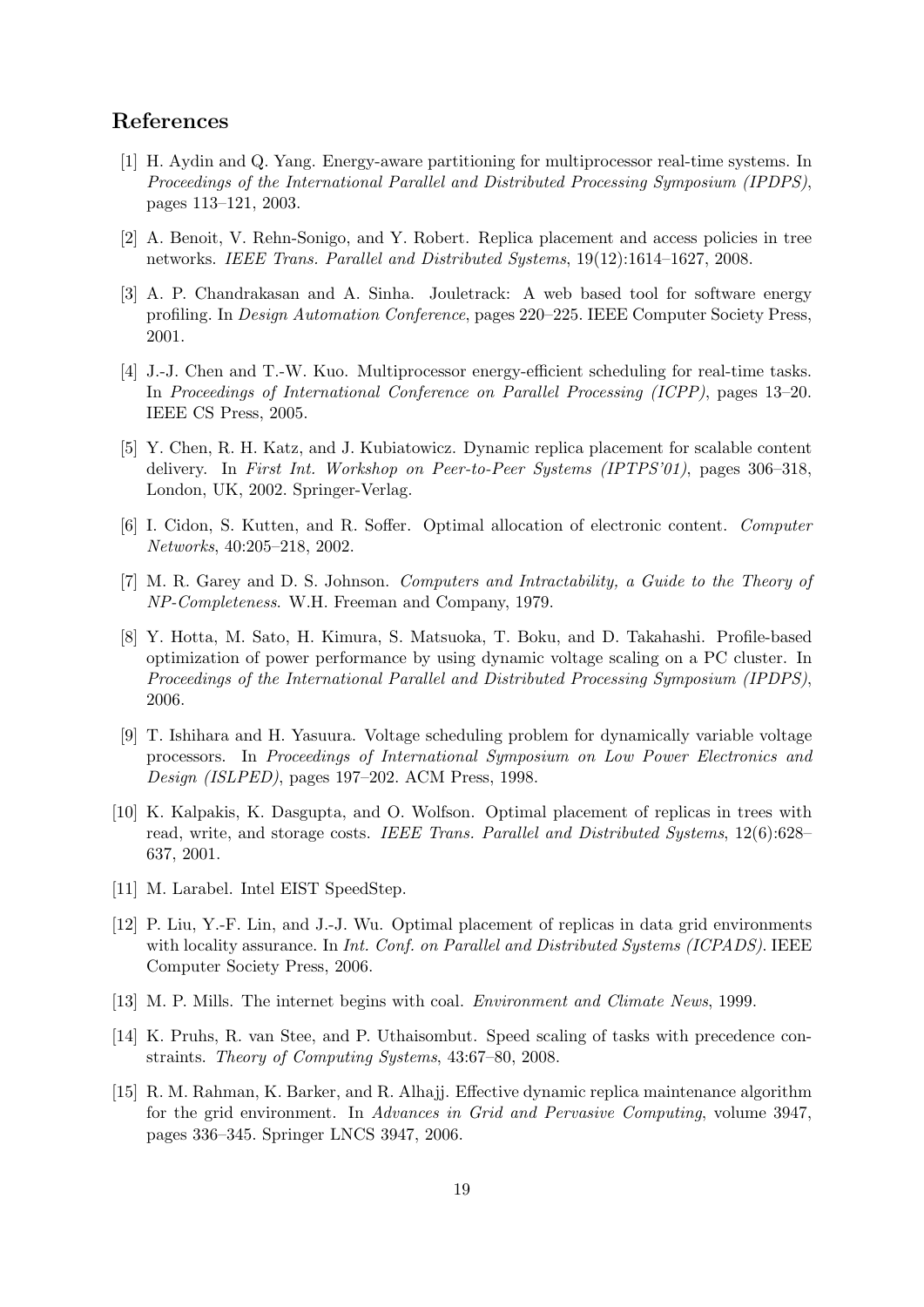## References

- [1] H. Aydin and Q. Yang. Energy-aware partitioning for multiprocessor real-time systems. In *Proceedings of the International Parallel and Distributed Processing Symposium (IPDPS)*, pages 113–121, 2003.
- [2] A. Benoit, V. Rehn-Sonigo, and Y. Robert. Replica placement and access policies in tree networks. *IEEE Trans. Parallel and Distributed Systems*, 19(12):1614–1627, 2008.
- [3] A. P. Chandrakasan and A. Sinha. Jouletrack: A web based tool for software energy profiling. In *Design Automation Conference*, pages 220–225. IEEE Computer Society Press, 2001.
- [4] J.-J. Chen and T.-W. Kuo. Multiprocessor energy-efficient scheduling for real-time tasks. In *Proceedings of International Conference on Parallel Processing (ICPP)*, pages 13–20. IEEE CS Press, 2005.
- [5] Y. Chen, R. H. Katz, and J. Kubiatowicz. Dynamic replica placement for scalable content delivery. In *First Int. Workshop on Peer-to-Peer Systems (IPTPS'01)*, pages 306–318, London, UK, 2002. Springer-Verlag.
- [6] I. Cidon, S. Kutten, and R. Soffer. Optimal allocation of electronic content. *Computer Networks*, 40:205–218, 2002.
- [7] M. R. Garey and D. S. Johnson. *Computers and Intractability, a Guide to the Theory of NP-Completeness*. W.H. Freeman and Company, 1979.
- [8] Y. Hotta, M. Sato, H. Kimura, S. Matsuoka, T. Boku, and D. Takahashi. Profile-based optimization of power performance by using dynamic voltage scaling on a PC cluster. In *Proceedings of the International Parallel and Distributed Processing Symposium (IPDPS)*, 2006.
- [9] T. Ishihara and H. Yasuura. Voltage scheduling problem for dynamically variable voltage processors. In *Proceedings of International Symposium on Low Power Electronics and Design (ISLPED)*, pages 197–202. ACM Press, 1998.
- [10] K. Kalpakis, K. Dasgupta, and O. Wolfson. Optimal placement of replicas in trees with read, write, and storage costs. *IEEE Trans. Parallel and Distributed Systems*, 12(6):628– 637, 2001.
- [11] M. Larabel. Intel EIST SpeedStep.
- [12] P. Liu, Y.-F. Lin, and J.-J. Wu. Optimal placement of replicas in data grid environments with locality assurance. In *Int. Conf. on Parallel and Distributed Systems (ICPADS)*. IEEE Computer Society Press, 2006.
- [13] M. P. Mills. The internet begins with coal. *Environment and Climate News*, 1999.
- [14] K. Pruhs, R. van Stee, and P. Uthaisombut. Speed scaling of tasks with precedence constraints. *Theory of Computing Systems*, 43:67–80, 2008.
- [15] R. M. Rahman, K. Barker, and R. Alhajj. Effective dynamic replica maintenance algorithm for the grid environment. In *Advances in Grid and Pervasive Computing*, volume 3947, pages 336–345. Springer LNCS 3947, 2006.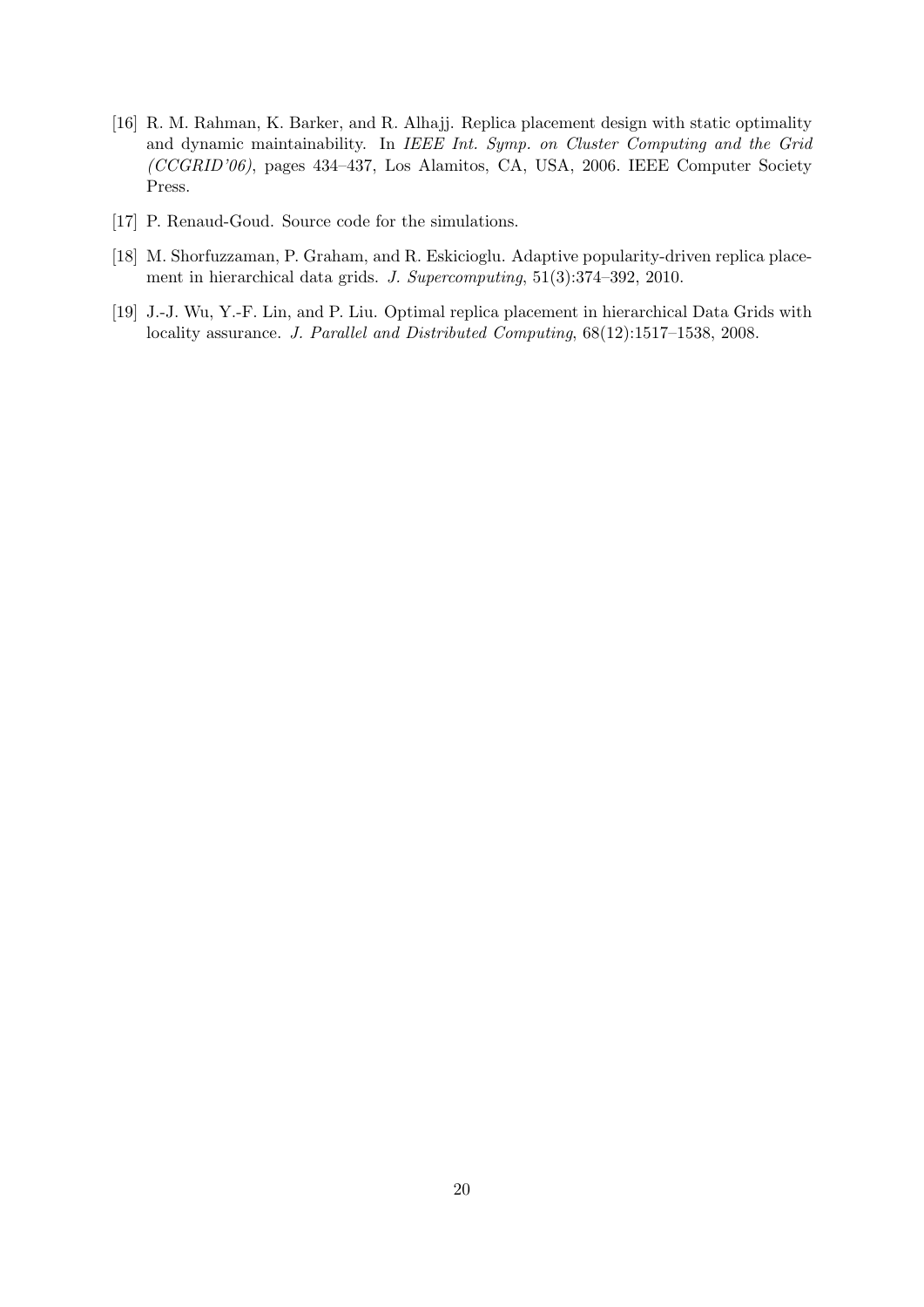- [16] R. M. Rahman, K. Barker, and R. Alhajj. Replica placement design with static optimality and dynamic maintainability. In *IEEE Int. Symp. on Cluster Computing and the Grid (CCGRID'06)*, pages 434–437, Los Alamitos, CA, USA, 2006. IEEE Computer Society Press.
- [17] P. Renaud-Goud. Source code for the simulations.
- [18] M. Shorfuzzaman, P. Graham, and R. Eskicioglu. Adaptive popularity-driven replica placement in hierarchical data grids. *J. Supercomputing*, 51(3):374–392, 2010.
- [19] J.-J. Wu, Y.-F. Lin, and P. Liu. Optimal replica placement in hierarchical Data Grids with locality assurance. *J. Parallel and Distributed Computing*, 68(12):1517–1538, 2008.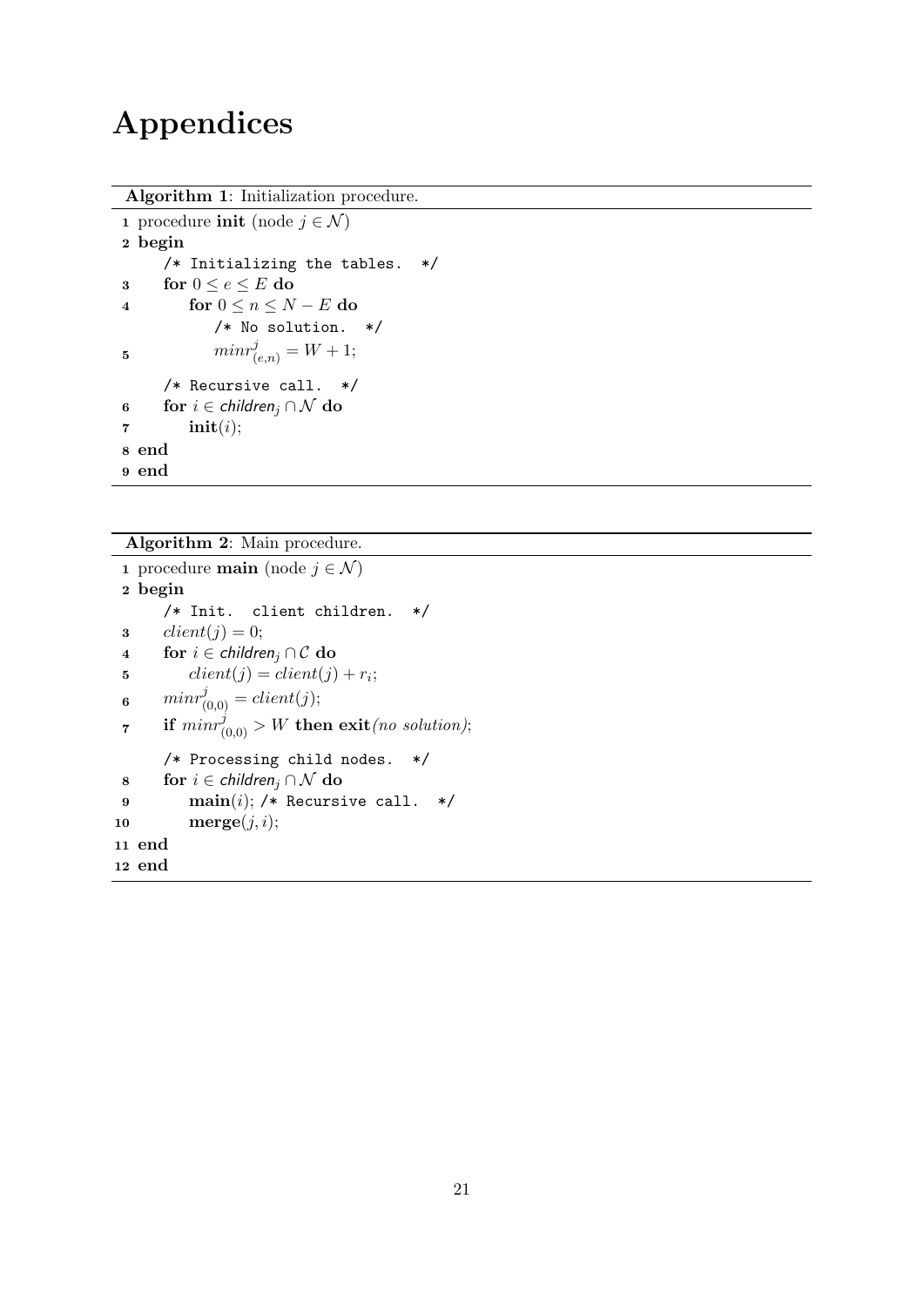# Appendices

Algorithm 1: Initialization procedure.

```
1 procedure init (node j \in \mathcal{N})
2 begin
     /* Initializing the tables. */
3 for 0 \le e \le E do
4 for 0 \le n \le N - E do
            /* No solution. */
5 min_{(e,n)}^j = W + 1;/* Recursive call. */
6 for i \in \text{children}_i \cap \mathcal{N} do
\mathbf{r} init(i);
8 end
9 end
```
Algorithm 2: Main procedure.

```
1 procedure main (node j \in \mathcal{N})
 2 begin
       /* Init. client children. */
 \textbf{3} client(j) = 0;4 for i \in \text{children}_j \cap C do
 5 client(j) = client(j) + r_i;6 min_{(0,0)}^j = client(j);\tau \qquad \text{if}~~minr^{j}_{(0,0)}>W \text{ then exit}(no~solution);/* Processing child nodes. */
 8 for i \in \text{children}_i \cap \mathcal{N} do
 9 main(i); /* Recursive call. */
10 merge(j, i);
11 end
12 end
```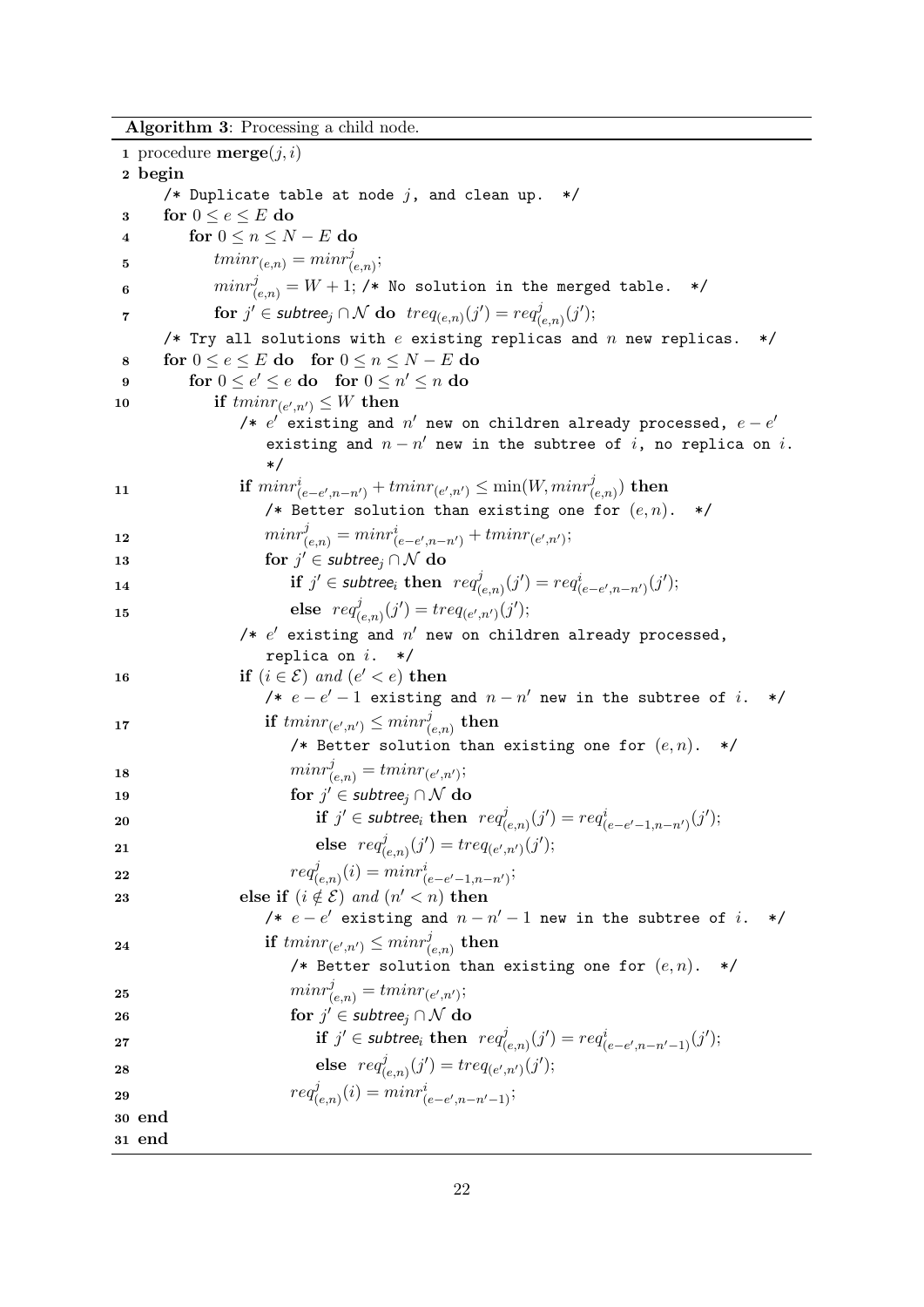Algorithm 3: Processing a child node.

1 procedure **merge** $(j, i)$ 2 begin /\* Duplicate table at node  $j$ , and clean up. \*/ 3 for  $0 \le e \le E$  do 4 for  $0 \le n \le N - E$  do 5  $tmin_{(e,n)} = min_{(e,n)}^{j};$  $\delta$  for  $minr_{(e,n)}^j=W+1;$  /\* No solution in the merged table. \*/  $\textbf{for} \, \, j' \in \textit{subtree}_j \cap \mathcal{N} \, \, \textbf{do} \, \, \, \textit{treq}_{(e,n)}(j') = \textit{req}^j_{(i)}$  $\qquad \qquad \mathbf{for}\,\,j'\in\mathsf{subtree}_j\cap\mathcal{N}\,\,\mathbf{do}\,\,\, \mathit{treq}_{(e,n)}(j')=\mathit{req}_{(e,n)}^j(j');$ /\* Try all solutions with  $e$  existing replicas and  $n$  new replicas. \*/ 8 for  $0 \le e \le E$  do for  $0 \le n \le N - E$  do 9 for  $0 \le e' \le e$  do for  $0 \le n' \le n$  do  ${\bf i} {\bf f} \; tmin_{(e',n')} \leq W \; {\bf then}$ /\*  $e^{\prime}$  existing and  $n^{\prime}$  new on children already processed,  $e-e^{\prime}$ existing and  $n - n'$  new in the subtree of  $i$ , no replica on  $i$ . \*/  $\textbf{if}~~min{r_{(e-e',n-n')}^i} + tmin{r_{(e',n')}} \leq \min(W, min{r_{(e,n)}^j}) \textbf{ then}$ /\* Better solution than existing one for  $(e, n)$ . \*/ 12  $min_{(e,n)}^j = min_{(e-e',n-n')}^i + tmin_{(e',n')}^r;$ 13 for  $j' \in \mathsf{subtree}_j \cap \mathcal{N}$  do if  $j' \in \mathsf{subtree}_i$  then  $\mathit{req}_\ell^j$ 14 if  $j' \in \mathsf{subtree}_i \mathsf{then} \ \ \mathit{req}^j_{(e,n)}(j') = \mathit{req}^i_{(e-e',n-n')}(j');$ else  $req_l^j$ 15 **else**  $req_{(e,n)}^{j}(j') = treq_{(e',n')}(j');$ /\*  $e'$  existing and  $n'$  new on children already processed, replica on  $i$ . \*/ **if**  $(i \in \mathcal{E})$  *and*  $(e' < e)$  **then** /\*  $e - e' - 1$  existing and  $n - n'$  new in the subtree of i. \*/  $\quad \quad \textbf{if} \; \textit{tminr}_{(e',n')} \leq \textit{minr}_{(e,n)}^j \; \textbf{then}$ /\* Better solution than existing one for  $(e, n)$ . \*/ **18**  $min_{(e,n)}^j = tmin_{(e',n')};$ 19 for  $j' \in \mathsf{subtree}_j \cap \mathcal{N}$  do  $\mathbf{if} \,\, j' \in \mathsf{subtree}_i \,\, \mathbf{then} \,\, \, \mathit{req}_\ell^j$ 20  $\qquad \qquad \textbf{if}\ \ j'\in \textit{subtree}_i\ \textbf{then}\ \ \textit{req}^j_{(e,n)}(j') = \textit{req}^i_{(e-e'-1,n-n')}(j');$ else  $req_l^j$ **21** else  $req_{(e,n)}^{j}(j') = treq_{(e',n')}(j');$  $req_l^j$ 22  $req_{(e,n)}^j(i) = minr_{(e-e'-1,n-n')}^i;$ else if  $(i \notin \mathcal{E})$  *and*  $(n' < n)$  then /\*  $e - e'$  existing and  $n - n' - 1$  new in the subtree of i. \*/  $\quad \quad \ \textbf{if} \; \textit{tminr}_{(e',n')} \leq \textit{minr}_{(e,n)}^j \; \textbf{then}$ /\* Better solution than existing one for  $(e, n)$ . \*/ **25**  $min_{(e,n)}^j = tmin_{(e',n')}$ ; 26 for  $j' ∈$  subtree $_j ∩ ∇$  do  $\mathbf{if} \,\, j' \in \mathsf{subtree}_i \,\, \mathbf{then} \,\, \, \mathit{req}_\ell^j$ 27 if  $j' \in \text{subtree}_i \text{ then } \text{req}_{(e,n)}^j(j') = \text{req}_{(e-e',n-n'-1)}^i(j');$ else  $req_l^j$ **28** else  $req_{(e,n)}^{j}(j') = treq_{(e',n')}(j');$  $req_l^j$ **29**  $req_{(e,n)}^j(i) = minr_{(e-e',n-n'-1)}^i;$ 30 end 31 end